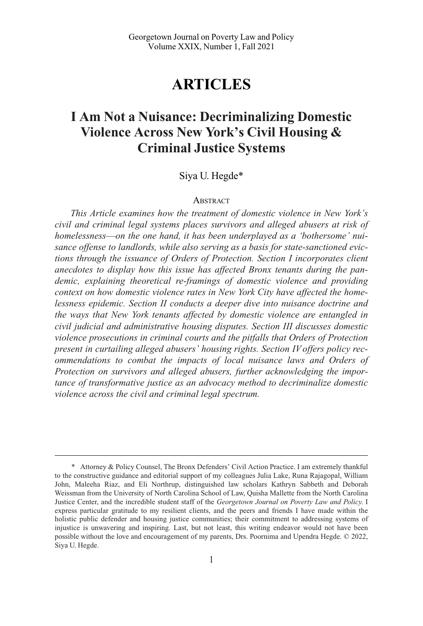# **ARTICLES**

# **I Am Not a Nuisance: Decriminalizing Domestic Violence Across New York's Civil Housing & Criminal Justice Systems**

## Siya U. Hegde\*

#### **ABSTRACT**

*This Article examines how the treatment of domestic violence in New York's civil and criminal legal systems places survivors and alleged abusers at risk of homelessness*—*on the one hand, it has been underplayed as a 'bothersome' nuisance offense to landlords, while also serving as a basis for state-sanctioned evictions through the issuance of Orders of Protection. Section I incorporates client anecdotes to display how this issue has affected Bronx tenants during the pandemic, explaining theoretical re-framings of domestic violence and providing context on how domestic violence rates in New York City have affected the homelessness epidemic. Section II conducts a deeper dive into nuisance doctrine and the ways that New York tenants affected by domestic violence are entangled in civil judicial and administrative housing disputes. Section III discusses domestic violence prosecutions in criminal courts and the pitfalls that Orders of Protection present in curtailing alleged abusers' housing rights. Section IV offers policy recommendations to combat the impacts of local nuisance laws and Orders of Protection on survivors and alleged abusers, further acknowledging the importance of transformative justice as an advocacy method to decriminalize domestic violence across the civil and criminal legal spectrum.* 

<sup>\*</sup> Attorney & Policy Counsel, The Bronx Defenders' Civil Action Practice. I am extremely thankful to the constructive guidance and editorial support of my colleagues Julia Lake, Runa Rajagopal, William John, Maleeha Riaz, and Eli Northrup, distinguished law scholars Kathryn Sabbeth and Deborah Weissman from the University of North Carolina School of Law, Quisha Mallette from the North Carolina Justice Center, and the incredible student staff of the *Georgetown Journal on Poverty Law and Policy*. I express particular gratitude to my resilient clients, and the peers and friends I have made within the holistic public defender and housing justice communities; their commitment to addressing systems of injustice is unwavering and inspiring. Last, but not least, this writing endeavor would not have been possible without the love and encouragement of my parents, Drs. Poornima and Upendra Hegde. © 2022, Siya U. Hegde.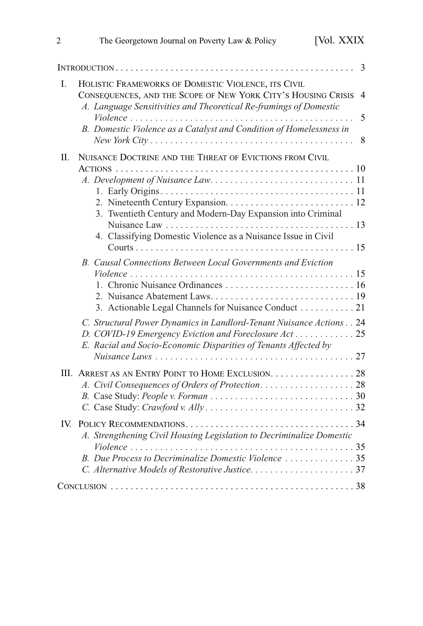| 3                                                                                                                                                                                                                                                                                                                                                                                                          |
|------------------------------------------------------------------------------------------------------------------------------------------------------------------------------------------------------------------------------------------------------------------------------------------------------------------------------------------------------------------------------------------------------------|
| HOLISTIC FRAMEWORKS OF DOMESTIC VIOLENCE, ITS CIVIL<br>CONSEQUENCES, AND THE SCOPE OF NEW YORK CITY'S HOUSING CRISIS<br>$\overline{4}$<br>A. Language Sensitivities and Theoretical Re-framings of Domestic<br>5<br>B. Domestic Violence as a Catalyst and Condition of Homelessness in<br>$New York City \ldots \ldots \ldots \ldots \ldots \ldots \ldots \ldots \ldots \ldots \ldots \ldots \ldots$<br>8 |
| NUISANCE DOCTRINE AND THE THREAT OF EVICTIONS FROM CIVIL<br>3. Twentieth Century and Modern-Day Expansion into Criminal<br>4. Classifying Domestic Violence as a Nuisance Issue in Civil                                                                                                                                                                                                                   |
| B. Causal Connections Between Local Governments and Eviction<br>3. Actionable Legal Channels for Nuisance Conduct 21<br>C. Structural Power Dynamics in Landlord-Tenant Nuisance Actions 24<br>D. COVID-19 Emergency Eviction and Foreclosure Act 25<br>E. Racial and Socio-Economic Disparities of Tenants Affected by                                                                                    |
| III. ARREST AS AN ENTRY POINT TO HOME EXCLUSION. 28                                                                                                                                                                                                                                                                                                                                                        |
| A. Strengthening Civil Housing Legislation to Decriminalize Domestic                                                                                                                                                                                                                                                                                                                                       |
|                                                                                                                                                                                                                                                                                                                                                                                                            |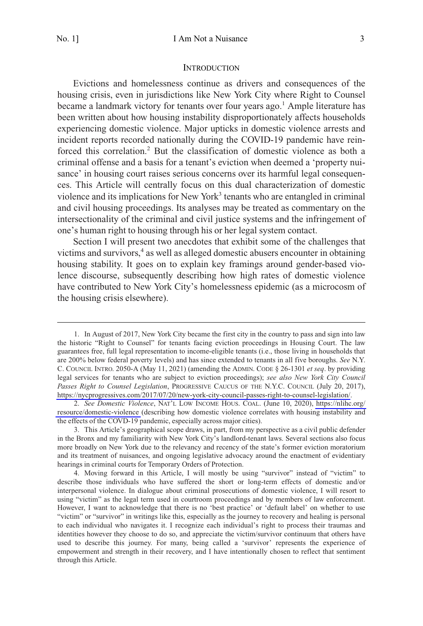#### **INTRODUCTION**

<span id="page-2-0"></span>Evictions and homelessness continue as drivers and consequences of the housing crisis, even in jurisdictions like New York City where Right to Counsel became a landmark victory for tenants over four years ago.<sup>1</sup> Ample literature has been written about how housing instability disproportionately affects households experiencing domestic violence. Major upticks in domestic violence arrests and incident reports recorded nationally during the COVID-19 pandemic have reinforced this correlation.<sup>2</sup> But the classification of domestic violence as both a criminal offense and a basis for a tenant's eviction when deemed a 'property nuisance' in housing court raises serious concerns over its harmful legal consequences. This Article will centrally focus on this dual characterization of domestic violence and its implications for New York<sup>3</sup> tenants who are entangled in criminal and civil housing proceedings. Its analyses may be treated as commentary on the intersectionality of the criminal and civil justice systems and the infringement of one's human right to housing through his or her legal system contact.

Section I will present two anecdotes that exhibit some of the challenges that victims and survivors,<sup>4</sup> as well as alleged domestic abusers encounter in obtaining housing stability. It goes on to explain key framings around gender-based violence discourse, subsequently describing how high rates of domestic violence have contributed to New York City's homelessness epidemic (as a microcosm of the housing crisis elsewhere).

In August of 2017, New York City became the first city in the country to pass and sign into law 1. the historic "Right to Counsel" for tenants facing eviction proceedings in Housing Court. The law guarantees free, full legal representation to income-eligible tenants (i.e., those living in households that are 200% below federal poverty levels) and has since extended to tenants in all five boroughs. *See* N.Y. C. COUNCIL INTRO. 2050-A (May 11, 2021) (amending the ADMIN. CODE § 26-1301 *et seq*. by providing legal services for tenants who are subject to eviction proceedings); *see also New York City Council Passes Right to Counsel Legislation*, PROGRESSIVE CAUCUS OF THE N.Y.C. COUNCIL (July 20, 2017), [https://nycprogressives.com/2017/07/20/new-york-city-council-passes-right-to-counsel-legislation/.](https://nycprogressives.com/2017/07/20/new-york-city-council-passes-right-to-counsel-legislation/)

*See Domestic Violence*, NAT'L LOW INCOME HOUS. COAL. (June 10, 2020), [https://nlihc.org/](https://nlihc.org/resource/domestic-violence)  2. [resource/domestic-violence](https://nlihc.org/resource/domestic-violence) (describing how domestic violence correlates with housing instability and the effects of the COVD-19 pandemic, especially across major cities).

<sup>3.</sup> This Article's geographical scope draws, in part, from my perspective as a civil public defender in the Bronx and my familiarity with New York City's landlord-tenant laws. Several sections also focus more broadly on New York due to the relevancy and recency of the state's former eviction moratorium and its treatment of nuisances, and ongoing legislative advocacy around the enactment of evidentiary hearings in criminal courts for Temporary Orders of Protection.

<sup>4.</sup> Moving forward in this Article, I will mostly be using "survivor" instead of "victim" to describe those individuals who have suffered the short or long-term effects of domestic and/or interpersonal violence. In dialogue about criminal prosecutions of domestic violence, I will resort to using "victim" as the legal term used in courtroom proceedings and by members of law enforcement. However, I want to acknowledge that there is no 'best practice' or 'default label' on whether to use "victim" or "survivor" in writings like this, especially as the journey to recovery and healing is personal to each individual who navigates it. I recognize each individual's right to process their traumas and identities however they choose to do so, and appreciate the victim/survivor continuum that others have used to describe this journey. For many, being called a 'survivor' represents the experience of empowerment and strength in their recovery, and I have intentionally chosen to reflect that sentiment through this Article.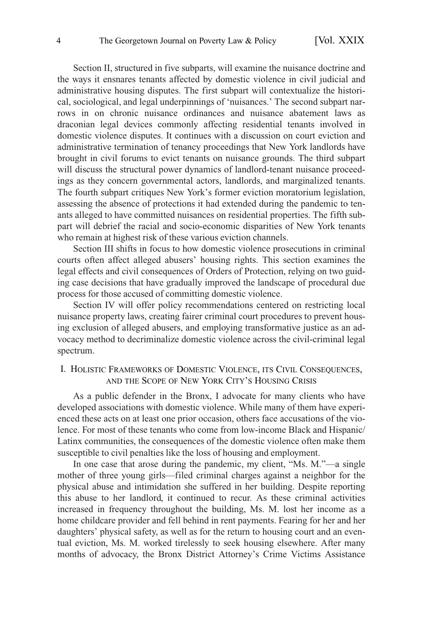<span id="page-3-0"></span>Section II, structured in five subparts, will examine the nuisance doctrine and the ways it ensnares tenants affected by domestic violence in civil judicial and administrative housing disputes. The first subpart will contextualize the historical, sociological, and legal underpinnings of 'nuisances.' The second subpart narrows in on chronic nuisance ordinances and nuisance abatement laws as draconian legal devices commonly affecting residential tenants involved in domestic violence disputes. It continues with a discussion on court eviction and administrative termination of tenancy proceedings that New York landlords have brought in civil forums to evict tenants on nuisance grounds. The third subpart will discuss the structural power dynamics of landlord-tenant nuisance proceedings as they concern governmental actors, landlords, and marginalized tenants. The fourth subpart critiques New York's former eviction moratorium legislation, assessing the absence of protections it had extended during the pandemic to tenants alleged to have committed nuisances on residential properties. The fifth subpart will debrief the racial and socio-economic disparities of New York tenants who remain at highest risk of these various eviction channels.

Section III shifts in focus to how domestic violence prosecutions in criminal courts often affect alleged abusers' housing rights. This section examines the legal effects and civil consequences of Orders of Protection, relying on two guiding case decisions that have gradually improved the landscape of procedural due process for those accused of committing domestic violence.

Section IV will offer policy recommendations centered on restricting local nuisance property laws, creating fairer criminal court procedures to prevent housing exclusion of alleged abusers, and employing transformative justice as an advocacy method to decriminalize domestic violence across the civil-criminal legal spectrum.

# I. HOLISTIC FRAMEWORKS OF DOMESTIC VIOLENCE, ITS CIVIL CONSEQUENCES, AND THE SCOPE OF NEW YORK CITY'S HOUSING CRISIS

As a public defender in the Bronx, I advocate for many clients who have developed associations with domestic violence. While many of them have experienced these acts on at least one prior occasion, others face accusations of the violence. For most of these tenants who come from low-income Black and Hispanic/ Latinx communities, the consequences of the domestic violence often make them susceptible to civil penalties like the loss of housing and employment.

In one case that arose during the pandemic, my client, "Ms. M."—a single mother of three young girls—filed criminal charges against a neighbor for the physical abuse and intimidation she suffered in her building. Despite reporting this abuse to her landlord, it continued to recur. As these criminal activities increased in frequency throughout the building, Ms. M. lost her income as a home childcare provider and fell behind in rent payments. Fearing for her and her daughters' physical safety, as well as for the return to housing court and an eventual eviction, Ms. M. worked tirelessly to seek housing elsewhere. After many months of advocacy, the Bronx District Attorney's Crime Victims Assistance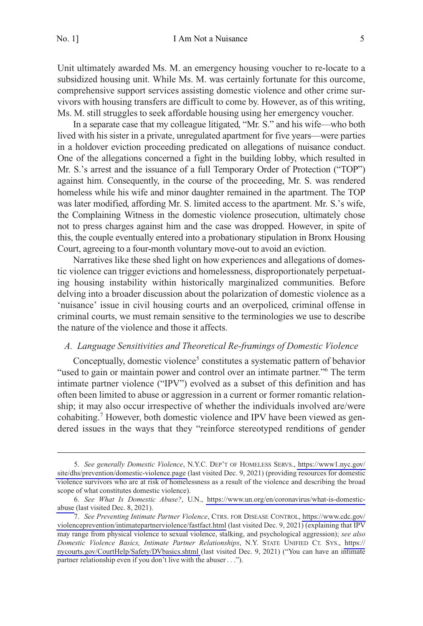<span id="page-4-0"></span>Unit ultimately awarded Ms. M. an emergency housing voucher to re-locate to a subsidized housing unit. While Ms. M. was certainly fortunate for this ourcome, comprehensive support services assisting domestic violence and other crime survivors with housing transfers are difficult to come by. However, as of this writing, Ms. M. still struggles to seek affordable housing using her emergency voucher.

In a separate case that my colleague litigated, "Mr. S." and his wife—who both lived with his sister in a private, unregulated apartment for five years—were parties in a holdover eviction proceeding predicated on allegations of nuisance conduct. One of the allegations concerned a fight in the building lobby, which resulted in Mr. S.'s arrest and the issuance of a full Temporary Order of Protection ("TOP") against him. Consequently, in the course of the proceeding, Mr. S. was rendered homeless while his wife and minor daughter remained in the apartment. The TOP was later modified, affording Mr. S. limited access to the apartment. Mr. S.'s wife, the Complaining Witness in the domestic violence prosecution, ultimately chose not to press charges against him and the case was dropped. However, in spite of this, the couple eventually entered into a probationary stipulation in Bronx Housing Court, agreeing to a four-month voluntary move-out to avoid an eviction.

Narratives like these shed light on how experiences and allegations of domestic violence can trigger evictions and homelessness, disproportionately perpetuating housing instability within historically marginalized communities. Before delving into a broader discussion about the polarization of domestic violence as a 'nuisance' issue in civil housing courts and an overpoliced, criminal offense in criminal courts, we must remain sensitive to the terminologies we use to describe the nature of the violence and those it affects.

## *A. Language Sensitivities and Theoretical Re-framings of Domestic Violence*

Conceptually, domestic violence<sup>5</sup> constitutes a systematic pattern of behavior "used to gain or maintain power and control over an intimate partner."<sup>6</sup> The term intimate partner violence ("IPV") evolved as a subset of this definition and has often been limited to abuse or aggression in a current or former romantic relationship; it may also occur irrespective of whether the individuals involved are/were cohabiting.<sup>7</sup> However, both domestic violence and IPV have been viewed as gendered issues in the ways that they "reinforce stereotyped renditions of gender

*See generally Domestic Violence*, N.Y.C. DEP'T OF HOMELESS SERVS., [https://www1.nyc.gov/](https://www1.nyc.gov/site/dhs/prevention/domestic-violence.page)  5. [site/dhs/prevention/domestic-violence.page](https://www1.nyc.gov/site/dhs/prevention/domestic-violence.page) (last visited Dec. 9, 2021) (providing resources for domestic violence survivors who are at risk of homelessness as a result of the violence and describing the broad scope of what constitutes domestic violence).

*See What Is Domestic Abuse?*, U.N., [https://www.un.org/en/coronavirus/what-is-domestic-](https://www.un.org/en/coronavirus/what-is-domestic-abuse)6. [abuse](https://www.un.org/en/coronavirus/what-is-domestic-abuse) (last visited Dec. 8, 2021).

*See Preventing Intimate Partner Violence*, CTRS. FOR DISEASE CONTROL, [https://www.cdc.gov/](https://www.cdc.gov/violenceprevention/intimatepartnerviolence/fastfact.html)  7. [violenceprevention/intimatepartnerviolence/fastfact.html](https://www.cdc.gov/violenceprevention/intimatepartnerviolence/fastfact.html) (last visited Dec. 9, 2021) (explaining that IPV may range from physical violence to sexual violence, stalking, and psychological aggression); *see also Domestic Violence Basics, Intimate Partner Relationships*, N.Y. STATE UNIFIED CT. SYS., [https://](https://nycourts.gov/CourtHelp/Safety/DVbasics.shtml)  [nycourts.gov/CourtHelp/Safety/DVbasics.shtml](https://nycourts.gov/CourtHelp/Safety/DVbasics.shtml) (last visited Dec. 9, 2021) ("You can have an intimate partner relationship even if you don't live with the abuser . . .").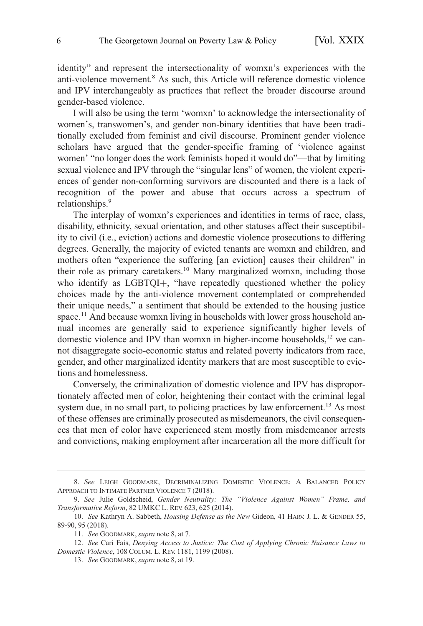identity" and represent the intersectionality of womxn's experiences with the anti-violence movement.8 As such, this Article will reference domestic violence and IPV interchangeably as practices that reflect the broader discourse around gender-based violence.

I will also be using the term 'womxn' to acknowledge the intersectionality of women's, transwomen's, and gender non-binary identities that have been traditionally excluded from feminist and civil discourse. Prominent gender violence scholars have argued that the gender-specific framing of 'violence against women' "no longer does the work feminists hoped it would do"—that by limiting sexual violence and IPV through the "singular lens" of women, the violent experiences of gender non-conforming survivors are discounted and there is a lack of recognition of the power and abuse that occurs across a spectrum of relationships.<sup>9</sup>

The interplay of womxn's experiences and identities in terms of race, class, disability, ethnicity, sexual orientation, and other statuses affect their susceptibility to civil (i.e., eviction) actions and domestic violence prosecutions to differing degrees. Generally, the majority of evicted tenants are womxn and children, and mothers often "experience the suffering [an eviction] causes their children" in their role as primary caretakers.<sup>10</sup> Many marginalized womxn, including those who identify as  $LGBTQI<sub>+</sub>$ , "have repeatedly questioned whether the policy choices made by the anti-violence movement contemplated or comprehended their unique needs," a sentiment that should be extended to the housing justice space.<sup>11</sup> And because womxn living in households with lower gross household annual incomes are generally said to experience significantly higher levels of domestic violence and IPV than womxn in higher-income households,<sup>12</sup> we cannot disaggregate socio-economic status and related poverty indicators from race, gender, and other marginalized identity markers that are most susceptible to evictions and homelessness.

Conversely, the criminalization of domestic violence and IPV has disproportionately affected men of color, heightening their contact with the criminal legal system due, in no small part, to policing practices by law enforcement.<sup>13</sup> As most of these offenses are criminally prosecuted as misdemeanors, the civil consequences that men of color have experienced stem mostly from misdemeanor arrests and convictions, making employment after incarceration all the more difficult for

<sup>8.</sup> *See* LEIGH GOODMARK, DECRIMINALIZING DOMESTIC VIOLENCE: A BALANCED POLICY APPROACH TO INTIMATE PARTNER VIOLENCE 7 (2018).

<sup>9.</sup> *See* Julie Goldscheid, *Gender Neutrality: The "Violence Against Women" Frame, and Transformative Reform*, 82 UMKC L. REV. 623, 625 (2014).

<sup>10.</sup> *See* Kathryn A. Sabbeth, *Housing Defense as the New* Gideon, 41 HARV. J. L. & GENDER 55, 89-90, 95 (2018).

<sup>11.</sup> *See* GOODMARK, *supra* note 8, at 7.

<sup>12.</sup> *See* Cari Fais, *Denying Access to Justice: The Cost of Applying Chronic Nuisance Laws to Domestic Violence*, 108 COLUM. L. REV. 1181, 1199 (2008).

<sup>13.</sup> *See* GOODMARK, *supra* note 8, at 19.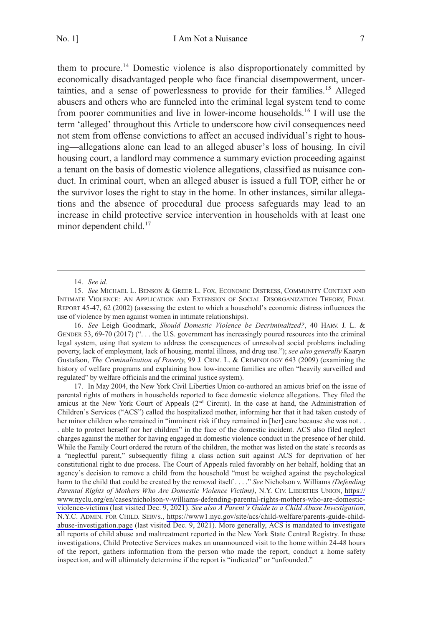them to procure.14 Domestic violence is also disproportionately committed by economically disadvantaged people who face financial disempowerment, uncertainties, and a sense of powerlessness to provide for their families.15 Alleged abusers and others who are funneled into the criminal legal system tend to come from poorer communities and live in lower-income households.16 I will use the term 'alleged' throughout this Article to underscore how civil consequences need not stem from offense convictions to affect an accused individual's right to housing—allegations alone can lead to an alleged abuser's loss of housing. In civil housing court, a landlord may commence a summary eviction proceeding against a tenant on the basis of domestic violence allegations, classified as nuisance conduct. In criminal court, when an alleged abuser is issued a full TOP, either he or the survivor loses the right to stay in the home. In other instances, similar allegations and the absence of procedural due process safeguards may lead to an increase in child protective service intervention in households with at least one minor dependent child.<sup>17</sup>

16. *See* Leigh Goodmark, *Should Domestic Violence be Decriminalized?*, 40 HARV. J. L. & GENDER 53, 69-70 (2017) (". . . the U.S. government has increasingly poured resources into the criminal legal system, using that system to address the consequences of unresolved social problems including poverty, lack of employment, lack of housing, mental illness, and drug use."); *see also generally* Kaaryn Gustafson, *The Criminalization of Poverty*, 99 J. CRIM. L. & CRIMINOLOGY 643 (2009) (examining the history of welfare programs and explaining how low-income families are often "heavily surveilled and regulated" by welfare officials and the criminal justice system).

17. In May 2004, the New York Civil Liberties Union co-authored an amicus brief on the issue of parental rights of mothers in households reported to face domestic violence allegations. They filed the amicus at the New York Court of Appeals (2nd Circuit). In the case at hand, the Administration of Children's Services ("ACS") called the hospitalized mother, informing her that it had taken custody of her minor children who remained in "imminent risk if they remained in [her] care because she was not . . . able to protect herself nor her children" in the face of the domestic incident. ACS also filed neglect charges against the mother for having engaged in domestic violence conduct in the presence of her child. While the Family Court ordered the return of the children, the mother was listed on the state's records as a "neglectful parent," subsequently filing a class action suit against ACS for deprivation of her constitutional right to due process. The Court of Appeals ruled favorably on her behalf, holding that an agency's decision to remove a child from the household "must be weighed against the psychological harm to the child that could be created by the removal itself . . . ." *See* Nicholson v. Williams *(Defending Parental Rights of Mothers Who Are Domestic Violence Victims)*, N.Y. CIV. LIBERTIES UNION, [https://](https://www.nyclu.org/en/cases/nicholson-v-williams-defending-parental-rights-mothers-who-are-domestic-violence-victims) [www.nyclu.org/en/cases/nicholson-v-williams-defending-parental-rights-mothers-who-are-domestic](https://www.nyclu.org/en/cases/nicholson-v-williams-defending-parental-rights-mothers-who-are-domestic-violence-victims)[violence-victims](https://www.nyclu.org/en/cases/nicholson-v-williams-defending-parental-rights-mothers-who-are-domestic-violence-victims) (last visited Dec. 9, 2021). *See also A Parent's Guide to a Child Abuse Investigation*, N.Y.C. ADMIN. FOR CHILD. SERVS., [https://www1.nyc.gov/site/acs/child-welfare/parents-guide-child](https://www1.nyc.gov/site/acs/child-welfare/parents-guide-child-abuse-investigation.page)[abuse-investigation.page](https://www1.nyc.gov/site/acs/child-welfare/parents-guide-child-abuse-investigation.page) (last visited Dec. 9, 2021). More generally, ACS is mandated to investigate all reports of child abuse and maltreatment reported in the New York State Central Registry. In these investigations, Child Protective Services makes an unannounced visit to the home within 24-48 hours of the report, gathers information from the person who made the report, conduct a home safety inspection, and will ultimately determine if the report is "indicated" or "unfounded."

<sup>14.</sup> *See id.* 

<sup>15.</sup> *See* MICHAEL L. BENSON & GREER L. FOX, ECONOMIC DISTRESS, COMMUNITY CONTEXT AND INTIMATE VIOLENCE: AN APPLICATION AND EXTENSION OF SOCIAL DISORGANIZATION THEORY, FINAL REPORT 45-47, 62 (2002) (assessing the extent to which a household's economic distress influences the use of violence by men against women in intimate relationships).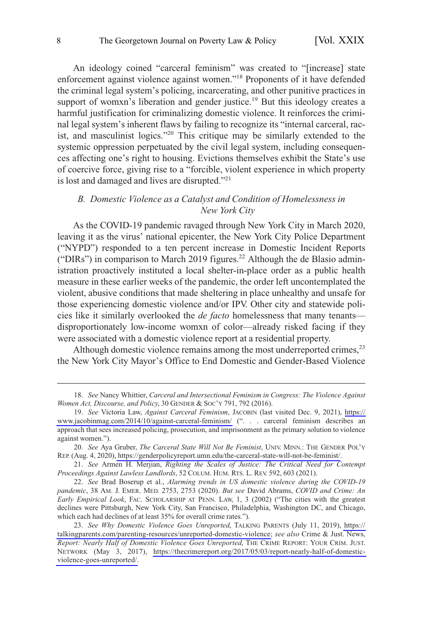<span id="page-7-0"></span>An ideology coined "carceral feminism" was created to "[increase] state enforcement against violence against women."18 Proponents of it have defended the criminal legal system's policing, incarcerating, and other punitive practices in support of womxn's liberation and gender justice.<sup>19</sup> But this ideology creates a harmful justification for criminalizing domestic violence. It reinforces the criminal legal system's inherent flaws by failing to recognize its "internal carceral, racist, and masculinist logics."<sup>20</sup> This critique may be similarly extended to the systemic oppression perpetuated by the civil legal system, including consequences affecting one's right to housing. Evictions themselves exhibit the State's use of coercive force, giving rise to a "forcible, violent experience in which property is lost and damaged and lives are disrupted."<sup>21</sup>

## *B. Domestic Violence as a Catalyst and Condition of Homelessness in New York City*

As the COVID-19 pandemic ravaged through New York City in March 2020, leaving it as the virus' national epicenter, the New York City Police Department ("NYPD") responded to a ten percent increase in Domestic Incident Reports ("DIRs") in comparison to March 2019 figures.<sup>22</sup> Although the de Blasio administration proactively instituted a local shelter-in-place order as a public health measure in these earlier weeks of the pandemic, the order left uncontemplated the violent, abusive conditions that made sheltering in place unhealthy and unsafe for those experiencing domestic violence and/or IPV. Other city and statewide policies like it similarly overlooked the *de facto* homelessness that many tenants disproportionately low-income womxn of color—already risked facing if they were associated with a domestic violence report at a residential property.

Although domestic violence remains among the most underreported crimes,<sup>23</sup> the New York City Mayor's Office to End Domestic and Gender-Based Violence

<sup>18.</sup> *See* Nancy Whittier, *Carceral and Intersectional Feminism in Congress: The Violence Against Women Act, Discourse, and Policy*, 30 GENDER & SOC'Y 791, 792 (2016).

<sup>19.</sup> See Victoria Law, *Against Carceral Feminism*, JACOBIN (last visited Dec. 9, 2021), https:// [www.jacobinmag.com/2014/10/against-carceral-feminism/](https://www.jacobinmag.com/2014/10/against-carceral-feminism/) (". . . carceral feminism describes an approach that sees increased policing, prosecution, and imprisonment as the primary solution to violence against women.").

*See* Aya Gruber, *The Carceral State Will Not Be Feminist*, UNIV. MINN.: THE GENDER POL'Y 20. REP. (Aug. 4, 2020),<https://genderpolicyreport.umn.edu/the-carceral-state-will-not-be-feminist/>.

<sup>21.</sup> *See* Armen H. Merjian, *Righting the Scales of Justice: The Critical Need for Contempt Proceedings Against Lawless Landlords*, 52 COLUM. HUM. RTS. L. REV. 592, 603 (2021).

<sup>22.</sup> *See* Brad Boserup et al., *Alarming trends in US domestic violence during the COVID-19 pandemic*, 38 AM. J. EMER. MED. 2753, 2753 (2020). *But see* David Abrams, *COVID and Crime: An Early Empirical Look*, FAC. SCHOLARSHIP AT PENN. LAW, 1, 3 (2002) ("The cities with the greatest declines were Pittsburgh, New York City, San Francisco, Philadelphia, Washington DC, and Chicago, which each had declines of at least 35% for overall crime rates.").

*See Why Domestic Violence Goes Unreported*, TALKING PARENTS (July 11, 2019), [https://](https://talkingparents.com/parenting-resources/unreported-domestic-violence)  23. [talkingparents.com/parenting-resources/unreported-domestic-violence;](https://talkingparents.com/parenting-resources/unreported-domestic-violence) *see also* Crime & Just. News, *Report: Nearly Half of Domestic Violence Goes Unreported*, THE CRIME REPORT: YOUR CRIM. JUST. NETWORK (May 3, 2017), [https://thecrimereport.org/2017/05/03/report-nearly-half-of-domestic](https://thecrimereport.org/2017/05/03/report-nearly-half-of-domestic-violence-goes-unreported/)[violence-goes-unreported/.](https://thecrimereport.org/2017/05/03/report-nearly-half-of-domestic-violence-goes-unreported/)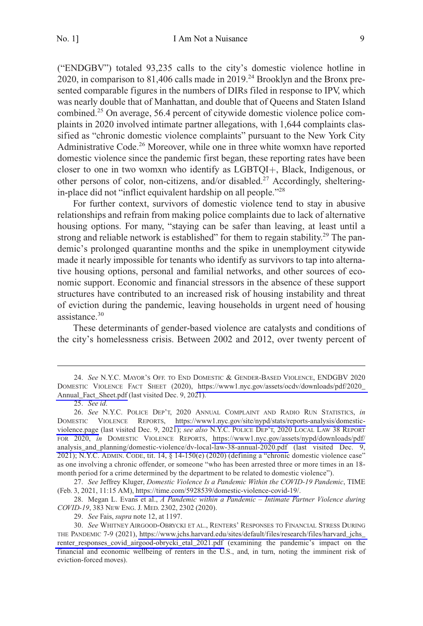("ENDGBV") totaled 93,235 calls to the city's domestic violence hotline in 2020, in comparison to 81,406 calls made in 2019.<sup>24</sup> Brooklyn and the Bronx presented comparable figures in the numbers of DIRs filed in response to IPV, which was nearly double that of Manhattan, and double that of Queens and Staten Island combined.25 On average, 56.4 percent of citywide domestic violence police complaints in 2020 involved intimate partner allegations, with 1,644 complaints classified as "chronic domestic violence complaints" pursuant to the New York City Administrative Code.<sup>26</sup> Moreover, while one in three white womxn have reported domestic violence since the pandemic first began, these reporting rates have been closer to one in two womxn who identify as  $LGBTQI+$ , Black, Indigenous, or other persons of color, non-citizens, and/or disabled.<sup>27</sup> Accordingly, shelteringin-place did not "inflict equivalent hardship on all people."<sup>28</sup>

For further context, survivors of domestic violence tend to stay in abusive relationships and refrain from making police complaints due to lack of alternative housing options. For many, "staying can be safer than leaving, at least until a strong and reliable network is established" for them to regain stability.<sup>29</sup> The pandemic's prolonged quarantine months and the spike in unemployment citywide made it nearly impossible for tenants who identify as survivors to tap into alternative housing options, personal and familial networks, and other sources of economic support. Economic and financial stressors in the absence of these support structures have contributed to an increased risk of housing instability and threat of eviction during the pandemic, leaving households in urgent need of housing assistance.<sup>30</sup>

These determinants of gender-based violence are catalysts and conditions of the city's homelessness crisis. Between 2002 and 2012, over twenty percent of

*See* N.Y.C. MAYOR'S OFF. TO END DOMESTIC & GENDER-BASED VIOLENCE, ENDGBV 2020 24. DOMESTIC VIOLENCE FACT SHEET (2020), [https://www1.nyc.gov/assets/ocdv/downloads/pdf/2020\\_](https://www1.nyc.gov/assets/ocdv/downloads/pdf/2020_Annual_Fact_Sheet.pdf)  [Annual\\_Fact\\_Sheet.pdf](https://www1.nyc.gov/assets/ocdv/downloads/pdf/2020_Annual_Fact_Sheet.pdf) (last visited Dec. 9, 2021).

<sup>25.</sup> *See id*.

*See* N.Y.C. POLICE DEP'T, 2020 ANNUAL COMPLAINT AND RADIO RUN STATISTICS, *in*  26. DOMESTIC VIOLENCE REPORTS, [https://www1.nyc.gov/site/nypd/stats/reports-analysis/domestic](https://www1.nyc.gov/site/nypd/stats/reports-analysis/domestic-violence.page)[violence.page](https://www1.nyc.gov/site/nypd/stats/reports-analysis/domestic-violence.page) (last visited Dec. 9, 2021); *see also* N.Y.C. POLICE DEP'T, 2020 LOCAL LAW 38 REPORT FOR 2020, *in* DOMESTIC VIOLENCE REPORTS, [https://www1.nyc.gov/assets/nypd/downloads/pdf/](https://www1.nyc.gov/assets/nypd/downloads/pdf/analysis_and_planning/domestic-violence/dv-local-law-38-annual-2020.pdf) [analysis\\_and\\_planning/domestic-violence/dv-local-law-38-annual-2020.pdf](https://www1.nyc.gov/assets/nypd/downloads/pdf/analysis_and_planning/domestic-violence/dv-local-law-38-annual-2020.pdf) (last visited Dec. 9, 2021); N.Y.C. ADMIN. CODE, tit. 14, § 14-150(e) (2020) (defining a "chronic domestic violence case" as one involving a chronic offender, or someone "who has been arrested three or more times in an 18 month period for a crime determined by the department to be related to domestic violence").

*See* Jeffrey Kluger, *Domestic Violence Is a Pandemic Within the COVID-19 Pandemic*, TIME 27. (Feb. 3, 2021, 11:15 AM), [https://time.com/5928539/domestic-violence-covid-19/.](https://time.com/5928539/domestic-violence-covid-19/)

<sup>28.</sup> Megan L. Evans et al., *A Pandemic within a Pandemic – Intimate Partner Violence during COVID-19*, 383 NEW ENG. J. MED. 2302, 2302 (2020).

<sup>29.</sup> *See* Fais, *supra* note 12, at 1197.

*See* WHITNEY AIRGOOD-OBRYCKI ET AL., RENTERS' RESPONSES TO FINANCIAL STRESS DURING 30. THE PANDEMIC 7-9 (2021), [https://www.jchs.harvard.edu/sites/default/files/research/files/harvard\\_jchs\\_](https://www.jchs.harvard.edu/sites/default/files/research/files/harvard_jchs_renter_responses_covid_airgood-obrycki_etal_2021.pdf)  [renter\\_responses\\_covid\\_airgood-obrycki\\_etal\\_2021.pdf](https://www.jchs.harvard.edu/sites/default/files/research/files/harvard_jchs_renter_responses_covid_airgood-obrycki_etal_2021.pdf) (examining the pandemic's impact on the financial and economic wellbeing of renters in the U.S., and, in turn, noting the imminent risk of eviction-forced moves).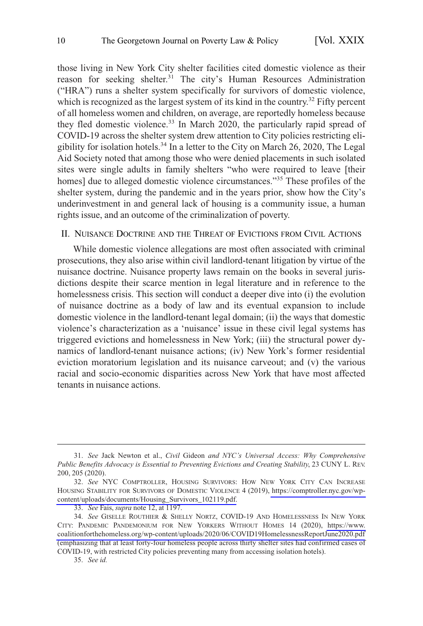<span id="page-9-0"></span>those living in New York City shelter facilities cited domestic violence as their reason for seeking shelter.<sup>31</sup> The city's Human Resources Administration ("HRA") runs a shelter system specifically for survivors of domestic violence, which is recognized as the largest system of its kind in the country.<sup>32</sup> Fifty percent of all homeless women and children, on average, are reportedly homeless because they fled domestic violence.<sup>33</sup> In March 2020, the particularly rapid spread of COVID-19 across the shelter system drew attention to City policies restricting eligibility for isolation hotels.<sup>34</sup> In a letter to the City on March 26, 2020, The Legal Aid Society noted that among those who were denied placements in such isolated sites were single adults in family shelters "who were required to leave [their homes] due to alleged domestic violence circumstances."<sup>35</sup> These profiles of the shelter system, during the pandemic and in the years prior, show how the City's underinvestment in and general lack of housing is a community issue, a human rights issue, and an outcome of the criminalization of poverty.

## II. NUISANCE DOCTRINE AND THE THREAT OF EVICTIONS FROM CIVIL ACTIONS

While domestic violence allegations are most often associated with criminal prosecutions, they also arise within civil landlord-tenant litigation by virtue of the nuisance doctrine. Nuisance property laws remain on the books in several jurisdictions despite their scarce mention in legal literature and in reference to the homelessness crisis. This section will conduct a deeper dive into (i) the evolution of nuisance doctrine as a body of law and its eventual expansion to include domestic violence in the landlord-tenant legal domain; (ii) the ways that domestic violence's characterization as a 'nuisance' issue in these civil legal systems has triggered evictions and homelessness in New York; (iii) the structural power dynamics of landlord-tenant nuisance actions; (iv) New York's former residential eviction moratorium legislation and its nuisance carveout; and (v) the various racial and socio-economic disparities across New York that have most affected tenants in nuisance actions.

35. *See id.* 

<sup>31.</sup> *See* Jack Newton et al., *Civil* Gideon *and NYC's Universal Access: Why Comprehensive Public Benefits Advocacy is Essential to Preventing Evictions and Creating Stability*, 23 CUNY L. REV. 200, 205 (2020).

*See* NYC COMPTROLLER, HOUSING SURVIVORS: HOW NEW YORK CITY CAN INCREASE 32. HOUSING STABILITY FOR SURVIVORS OF DOMESTIC VIOLENCE 4 (2019), [https://comptroller.nyc.gov/wp](https://comptroller.nyc.gov/wp-content/uploads/documents/Housing_Survivors_102119.pdf)[content/uploads/documents/Housing\\_Survivors\\_102119.pdf.](https://comptroller.nyc.gov/wp-content/uploads/documents/Housing_Survivors_102119.pdf)

<sup>33.</sup> *See* Fais, *supra* note 12, at 1197.

<sup>34.</sup> See GISELLE ROUTHIER & SHELLY NORTZ, COVID-19 AND HOMELESSNESS IN NEW YORK CITY: PANDEMIC PANDEMONIUM FOR NEW YORKERS WITHOUT HOMES 14 (2020), [https://www.](https://www.coalitionforthehomeless.org/wp-content/uploads/2020/06/COVID19HomelessnessReportJune2020.pdf)  [coalitionforthehomeless.org/wp-content/uploads/2020/06/COVID19HomelessnessReportJune2020.pdf](https://www.coalitionforthehomeless.org/wp-content/uploads/2020/06/COVID19HomelessnessReportJune2020.pdf) (emphasizing that at least forty-four homeless people across thirty shelter sites had confirmed cases of COVID-19, with restricted City policies preventing many from accessing isolation hotels).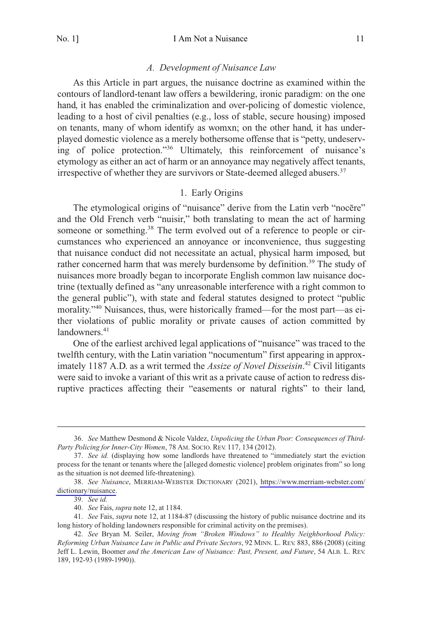#### *A. Development of Nuisance Law*

<span id="page-10-0"></span>As this Article in part argues, the nuisance doctrine as examined within the contours of landlord-tenant law offers a bewildering, ironic paradigm: on the one hand, it has enabled the criminalization and over-policing of domestic violence, leading to a host of civil penalties (e.g., loss of stable, secure housing) imposed on tenants, many of whom identify as womxn; on the other hand, it has underplayed domestic violence as a merely bothersome offense that is "petty, undeserving of police protection."36 Ultimately, this reinforcement of nuisance's etymology as either an act of harm or an annoyance may negatively affect tenants, irrespective of whether they are survivors or State-deemed alleged abusers.<sup>37</sup>

## 1. Early Origins

The etymological origins of "nuisance" derive from the Latin verb "nocēre" and the Old French verb "nuisir," both translating to mean the act of harming someone or something.<sup>38</sup> The term evolved out of a reference to people or circumstances who experienced an annoyance or inconvenience, thus suggesting that nuisance conduct did not necessitate an actual, physical harm imposed, but rather concerned harm that was merely burdensome by definition.<sup>39</sup> The study of nuisances more broadly began to incorporate English common law nuisance doctrine (textually defined as "any unreasonable interference with a right common to the general public"), with state and federal statutes designed to protect "public morality."<sup>40</sup> Nuisances, thus, were historically framed—for the most part—as either violations of public morality or private causes of action committed by  $landowners<sup>41</sup>$ 

One of the earliest archived legal applications of "nuisance" was traced to the twelfth century, with the Latin variation "nocumentum" first appearing in approximately 1187 A.D. as a writ termed the *Assize of Novel Disseisin*. 42 Civil litigants were said to invoke a variant of this writ as a private cause of action to redress disruptive practices affecting their "easements or natural rights" to their land,

<sup>36.</sup> *See* Matthew Desmond & Nicole Valdez, *Unpolicing the Urban Poor: Consequences of Third-Party Policing for Inner-City Women*, 78 AM. SOCIO. REV. 117, 134 (2012).

<sup>37.</sup> *See id.* (displaying how some landlords have threatened to "immediately start the eviction process for the tenant or tenants where the [alleged domestic violence] problem originates from" so long as the situation is not deemed life-threatening).

*See Nuisance*, MERRIAM-WEBSTER DICTIONARY (2021), [https://www.merriam-webster.com/](https://www.merriam-webster.com/dictionary/nuisance) 38. [dictionary/nuisance.](https://www.merriam-webster.com/dictionary/nuisance)

<sup>39.</sup> *See id.* 

<sup>40.</sup> *See* Fais, *supra* note 12, at 1184.

<sup>41.</sup> *See* Fais, *supra* note 12, at 1184-87 (discussing the history of public nuisance doctrine and its long history of holding landowners responsible for criminal activity on the premises).

<sup>42.</sup> *See* Bryan M. Seiler, *Moving from "Broken Windows" to Healthy Neighborhood Policy: Reforming Urban Nuisance Law in Public and Private Sectors*, 92 MINN. L. REV. 883, 886 (2008) (citing Jeff L. Lewin, Boomer *and the American Law of Nuisance: Past, Present, and Future*, 54 ALB. L. REV. 189, 192-93 (1989-1990)).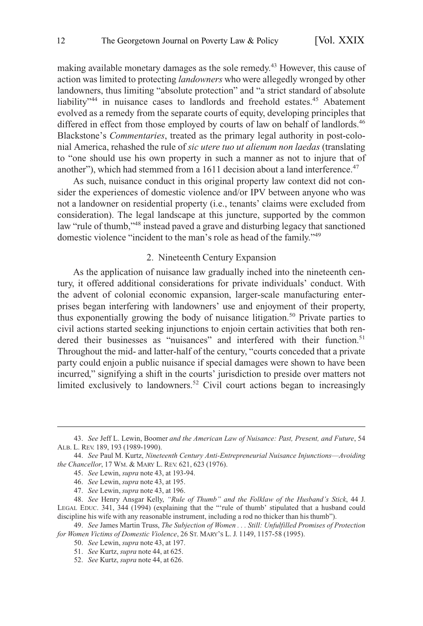<span id="page-11-0"></span>making available monetary damages as the sole remedy.<sup>43</sup> However, this cause of action was limited to protecting *landowners* who were allegedly wronged by other landowners, thus limiting "absolute protection" and "a strict standard of absolute liability<sup>744</sup> in nuisance cases to landlords and freehold estates.<sup>45</sup> Abatement evolved as a remedy from the separate courts of equity, developing principles that differed in effect from those employed by courts of law on behalf of landlords.<sup>46</sup> Blackstone's *Commentaries*, treated as the primary legal authority in post-colonial America, rehashed the rule of *sic utere tuo ut alienum non laedas* (translating to "one should use his own property in such a manner as not to injure that of another"), which had stemmed from a  $1611$  decision about a land interference.<sup>47</sup>

As such, nuisance conduct in this original property law context did not consider the experiences of domestic violence and/or IPV between anyone who was not a landowner on residential property (i.e., tenants' claims were excluded from consideration). The legal landscape at this juncture, supported by the common law "rule of thumb,"48 instead paved a grave and disturbing legacy that sanctioned domestic violence "incident to the man's role as head of the family."<sup>49</sup>

#### 2. Nineteenth Century Expansion

As the application of nuisance law gradually inched into the nineteenth century, it offered additional considerations for private individuals' conduct. With the advent of colonial economic expansion, larger-scale manufacturing enterprises began interfering with landowners' use and enjoyment of their property, thus exponentially growing the body of nuisance litigation.<sup>50</sup> Private parties to civil actions started seeking injunctions to enjoin certain activities that both rendered their businesses as "nuisances" and interfered with their function.<sup>51</sup> Throughout the mid- and latter-half of the century, "courts conceded that a private party could enjoin a public nuisance if special damages were shown to have been incurred," signifying a shift in the courts' jurisdiction to preside over matters not limited exclusively to landowners.<sup>52</sup> Civil court actions began to increasingly

<sup>43.</sup> *See* Jeff L. Lewin, Boomer *and the American Law of Nuisance: Past, Present, and Future*, 54 ALB. L. REV. 189, 193 (1989-1990).

<sup>44.</sup> *See* Paul M. Kurtz, *Nineteenth Century Anti-Entrepreneurial Nuisance Injunctions*—*Avoiding the Chancellor*, 17 WM. & MARY L. REV. 621, 623 (1976).

<sup>45.</sup> *See* Lewin, *supra* note 43, at 193-94.

<sup>46.</sup> *See* Lewin, *supra* note 43, at 195.

<sup>47.</sup> *See* Lewin, *supra* note 43, at 196.

<sup>48.</sup> *See* Henry Ansgar Kelly, *"Rule of Thumb" and the Folklaw of the Husband's Stick*, 44 J. LEGAL EDUC. 341, 344 (1994) (explaining that the "'rule of thumb' stipulated that a husband could discipline his wife with any reasonable instrument, including a rod no thicker than his thumb").

<sup>49.</sup> *See* James Martin Truss, *The Subjection of Women . . . Still: Unfulfilled Promises of Protection for Women Victims of Domestic Violence*, 26 ST. MARY'S L. J. 1149, 1157-58 (1995).

<sup>50.</sup> *See* Lewin, *supra* note 43, at 197.

<sup>51.</sup> *See* Kurtz, *supra* note 44, at 625.

<sup>52.</sup> *See* Kurtz, *supra* note 44, at 626.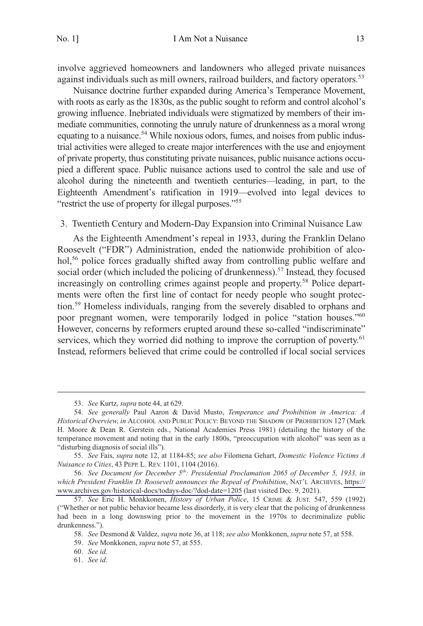<span id="page-12-0"></span>involve aggrieved homeowners and landowners who alleged private nuisances against individuals such as mill owners, railroad builders, and factory operators.<sup>53</sup>

Nuisance doctrine further expanded during America's Temperance Movement, with roots as early as the 1830s, as the public sought to reform and control alcohol's growing influence. Inebriated individuals were stigmatized by members of their immediate communities, connoting the unruly nature of drunkenness as a moral wrong equating to a nuisance.<sup>54</sup> While noxious odors, fumes, and noises from public industrial activities were alleged to create major interferences with the use and enjoyment of private property, thus constituting private nuisances, public nuisance actions occupied a different space. Public nuisance actions used to control the sale and use of alcohol during the nineteenth and twentieth centuries—leading, in part, to the Eighteenth Amendment's ratification in 1919—evolved into legal devices to "restrict the use of property for illegal purposes."<sup>55</sup>

## 3. Twentieth Century and Modern-Day Expansion into Criminal Nuisance Law

As the Eighteenth Amendment's repeal in 1933, during the Franklin Delano Roosevelt ("FDR") Administration, ended the nationwide prohibition of alcohol,<sup>56</sup> police forces gradually shifted away from controlling public welfare and social order (which included the policing of drunkenness).<sup>57</sup> Instead, they focused increasingly on controlling crimes against people and property.<sup>58</sup> Police departments were often the first line of contact for needy people who sought protection.59 Homeless individuals, ranging from the severely disabled to orphans and poor pregnant women, were temporarily lodged in police "station houses."<sup>60</sup> However, concerns by reformers erupted around these so-called "indiscriminate" services, which they worried did nothing to improve the corruption of poverty.<sup>61</sup> Instead, reformers believed that crime could be controlled if local social services

<sup>53.</sup> *See* Kurtz, *supra* note 44, at 629.

<sup>54.</sup> *See generally* Paul Aaron & David Musto, *Temperance and Prohibition in America: A Historical Overview*, *in* ALCOHOL AND PUBLIC POLICY: BEYOND THE SHADOW OF PROHIBITION 127 (Mark H. Moore & Dean R. Gerstein eds., National Academies Press 1981) (detailing the history of the temperance movement and noting that in the early 1800s, "preoccupation with alcohol" was seen as a "disturbing diagnosis of social ills").

<sup>55.</sup> *See* Fais, *supra* note 12, at 1184-85; *see also* Filomena Gehart, *Domestic Violence Victims A Nuisance to Cities*, 43 PEPP. L. REV. 1101, 1104 (2016).

*See Document for December 5th: Presidential Proclamation 2065 of December 5, 1933, in*  56. *which President Franklin D. Roosevelt announces the Repeal of Prohibition*, NAT'L ARCHIVES, [https://](https://www.archives.gov/historical-docs/todays-doc/?dod-date=1205)  [www.archives.gov/historical-docs/todays-doc/?dod-date=1205](https://www.archives.gov/historical-docs/todays-doc/?dod-date=1205) (last visited Dec. 9, 2021).

<sup>57.</sup> *See* Eric H. Monkkonen, *History of Urban Police*, 15 CRIME & JUST. 547, 559 (1992) ("Whether or not public behavior became less disorderly, it is very clear that the policing of drunkenness had been in a long downswing prior to the movement in the 1970s to decriminalize public drunkenness.").

<sup>58.</sup> *See* Desmond & Valdez, *supra* note 36, at 118; *see also* Monkkonen, *supra* note 57, at 558.

<sup>59.</sup> *See* Monkkonen, *supra* note 57, at 555.

<sup>60.</sup> *See id.* 

<sup>61.</sup> *See id.*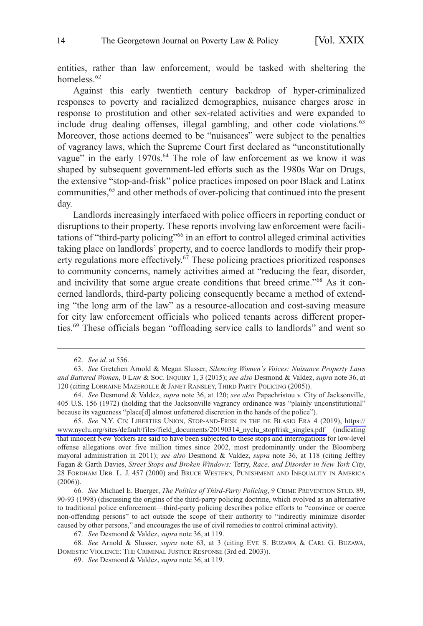entities, rather than law enforcement, would be tasked with sheltering the homeless.<sup>62</sup>

Against this early twentieth century backdrop of hyper-criminalized responses to poverty and racialized demographics, nuisance charges arose in response to prostitution and other sex-related activities and were expanded to include drug dealing offenses, illegal gambling, and other code violations.<sup>63</sup> Moreover, those actions deemed to be "nuisances" were subject to the penalties of vagrancy laws, which the Supreme Court first declared as "unconstitutionally vague" in the early 1970s.<sup>64</sup> The role of law enforcement as we know it was shaped by subsequent government-led efforts such as the 1980s War on Drugs, the extensive "stop-and-frisk" police practices imposed on poor Black and Latinx communities,<sup>65</sup> and other methods of over-policing that continued into the present day.

Landlords increasingly interfaced with police officers in reporting conduct or disruptions to their property. These reports involving law enforcement were facilitations of "third-party policing"<sup>66</sup> in an effort to control alleged criminal activities taking place on landlords' property, and to coerce landlords to modify their property regulations more effectively.<sup>67</sup> These policing practices prioritized responses to community concerns, namely activities aimed at "reducing the fear, disorder, and incivility that some argue create conditions that breed crime."68 As it concerned landlords, third-party policing consequently became a method of extending "the long arm of the law" as a resource-allocation and cost-saving measure for city law enforcement officials who policed tenants across different properties.69 These officials began "offloading service calls to landlords" and went so

<sup>62.</sup> *See id.* at 556.

<sup>63.</sup> *See* Gretchen Arnold & Megan Slusser, *Silencing Women's Voices: Nuisance Property Laws and Battered Women*, 0 LAW & SOC. INQUIRY 1, 3 (2015); *see also* Desmond & Valdez, *supra* note 36, at 120 (citing LORRAINE MAZEROLLE & JANET RANSLEY, THIRD PARTY POLICING (2005)).

<sup>64.</sup> *See* Desmond & Valdez, *supra* note 36, at 120; *see also* Papachristou v. City of Jacksonville, 405 U.S. 156 (1972) (holding that the Jacksonville vagrancy ordinance was "plainly unconstitutional" because its vagueness "place[d] almost unfettered discretion in the hands of the police").

<sup>65.</sup> See N.Y. CIV. LIBERTIES UNION, STOP-AND-FRISK IN THE DE BLASIO ERA 4 (2019), https:// [www.nyclu.org/sites/default/files/field\\_documents/20190314\\_nyclu\\_stopfrisk\\_singles.pdf](https://www.nyclu.org/sites/default/files/field_documents/20190314_nyclu_stopfrisk_singles.pdf) (indicating that innocent New Yorkers are said to have been subjected to these stops and interrogations for low-level offense allegations over five million times since 2002, most predominantly under the Bloomberg mayoral administration in 2011); *see also* Desmond & Valdez, *supra* note 36, at 118 (citing Jeffrey Fagan & Garth Davies, *Street Stops and Broken Windows:* Terry, *Race, and Disorder in New York City*, 28 FORDHAM URB. L. J. 457 (2000) and BRUCE WESTERN, PUNISHMENT AND INEQUALITY IN AMERICA (2006)).

<sup>66.</sup> *See* Michael E. Buerger, *The Politics of Third-Party Policing*, 9 CRIME PREVENTION STUD. 89, 90-93 (1998) (discussing the origins of the third-party policing doctrine, which evolved as an alternative to traditional police enforcement—third-party policing describes police efforts to "convince or coerce non-offending persons" to act outside the scope of their authority to "indirectly minimize disorder caused by other persons," and encourages the use of civil remedies to control criminal activity).

<sup>67.</sup> *See* Desmond & Valdez, *supra* note 36, at 119.

<sup>68.</sup> *See* Arnold & Slusser, *supra* note 63, at 3 (citing EVE S. BUZAWA & CARL G. BUZAWA, DOMESTIC VIOLENCE: THE CRIMINAL JUSTICE RESPONSE (3rd ed. 2003)).

<sup>69.</sup> *See* Desmond & Valdez, *supra* note 36, at 119.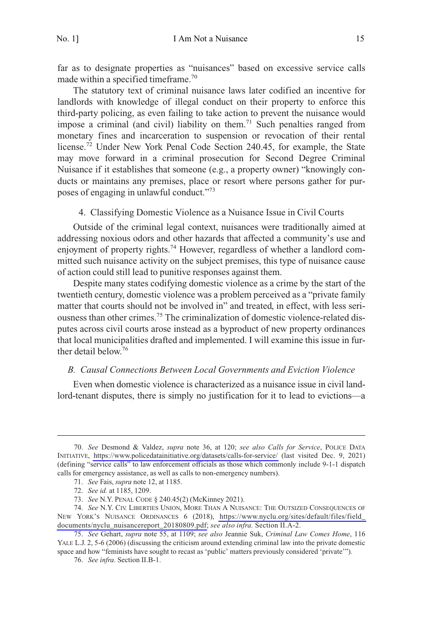<span id="page-14-0"></span>far as to designate properties as "nuisances" based on excessive service calls made within a specified timeframe.70

The statutory text of criminal nuisance laws later codified an incentive for landlords with knowledge of illegal conduct on their property to enforce this third-party policing, as even failing to take action to prevent the nuisance would impose a criminal (and civil) liability on them.<sup>71</sup> Such penalties ranged from monetary fines and incarceration to suspension or revocation of their rental license.<sup>72</sup> Under New York Penal Code Section 240.45, for example, the State may move forward in a criminal prosecution for Second Degree Criminal Nuisance if it establishes that someone (e.g., a property owner) "knowingly conducts or maintains any premises, place or resort where persons gather for purposes of engaging in unlawful conduct."<sup>73</sup>

## 4. Classifying Domestic Violence as a Nuisance Issue in Civil Courts

Outside of the criminal legal context, nuisances were traditionally aimed at addressing noxious odors and other hazards that affected a community's use and enjoyment of property rights.<sup>74</sup> However, regardless of whether a landlord committed such nuisance activity on the subject premises, this type of nuisance cause of action could still lead to punitive responses against them.

Despite many states codifying domestic violence as a crime by the start of the twentieth century, domestic violence was a problem perceived as a "private family matter that courts should not be involved in" and treated, in effect, with less seriousness than other crimes.75 The criminalization of domestic violence-related disputes across civil courts arose instead as a byproduct of new property ordinances that local municipalities drafted and implemented. I will examine this issue in further detail below.76

#### *B. Causal Connections Between Local Governments and Eviction Violence*

Even when domestic violence is characterized as a nuisance issue in civil landlord-tenant disputes, there is simply no justification for it to lead to evictions—a

*See* Desmond & Valdez, *supra* note 36, at 120; *see also Calls for Service*, POLICE DATA 70. INITIATIVE, <https://www.policedatainitiative.org/datasets/calls-for-service/>(last visited Dec. 9, 2021) (defining "service calls" to law enforcement officials as those which commonly include 9-1-1 dispatch calls for emergency assistance, as well as calls to non-emergency numbers).

<sup>71.</sup> *See* Fais, *supra* note 12, at 1185.

<sup>72.</sup> *See id.* at 1185, 1209.

<sup>73.</sup> *See* N.Y. PENAL CODE § 240.45(2) (McKinney 2021).

<sup>74.</sup> See N.Y. CIV. LIBERTIES UNION, MORE THAN A NUISANCE: THE OUTSIZED CONSEQUENCES OF NEW YORK'S NUISANCE ORDINANCES 6 (2018), [https://www.nyclu.org/sites/default/files/field\\_](https://www.nyclu.org/sites/default/files/field_documents/nyclu_nuisancereport_20180809.pdf)  [documents/nyclu\\_nuisancereport\\_20180809.pdf;](https://www.nyclu.org/sites/default/files/field_documents/nyclu_nuisancereport_20180809.pdf) *see also infra.* Section II.A-2.

<sup>75.</sup> *See* Gehart, *supra* note 55, at 1109; *see also* Jeannie Suk, *Criminal Law Comes Home*, 116 YALE L.J. 2, 5-6 (2006) (discussing the criticism around extending criminal law into the private domestic space and how "feminists have sought to recast as 'public' matters previously considered 'private'").

<sup>76.</sup> *See infra.* Section II.B-1.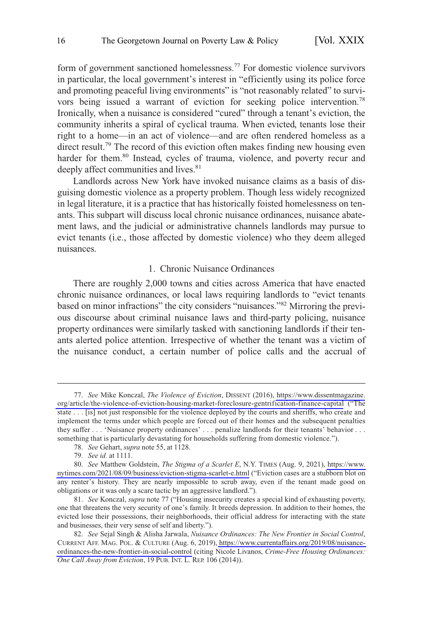<span id="page-15-0"></span>form of government sanctioned homelessness.<sup>77</sup> For domestic violence survivors in particular, the local government's interest in "efficiently using its police force and promoting peaceful living environments" is "not reasonably related" to survivors being issued a warrant of eviction for seeking police intervention.78 Ironically, when a nuisance is considered "cured" through a tenant's eviction, the community inherits a spiral of cyclical trauma. When evicted, tenants lose their right to a home—in an act of violence—and are often rendered homeless as a direct result.<sup>79</sup> The record of this eviction often makes finding new housing even harder for them.<sup>80</sup> Instead, cycles of trauma, violence, and poverty recur and deeply affect communities and lives.<sup>81</sup>

Landlords across New York have invoked nuisance claims as a basis of disguising domestic violence as a property problem. Though less widely recognized in legal literature, it is a practice that has historically foisted homelessness on tenants. This subpart will discuss local chronic nuisance ordinances, nuisance abatement laws, and the judicial or administrative channels landlords may pursue to evict tenants (i.e., those affected by domestic violence) who they deem alleged nuisances.

## 1. Chronic Nuisance Ordinances

There are roughly 2,000 towns and cities across America that have enacted chronic nuisance ordinances, or local laws requiring landlords to "evict tenants based on minor infractions" the city considers "nuisances."<sup>82</sup> Mirroring the previous discourse about criminal nuisance laws and third-party policing, nuisance property ordinances were similarly tasked with sanctioning landlords if their tenants alerted police attention. Irrespective of whether the tenant was a victim of the nuisance conduct, a certain number of police calls and the accrual of

*See* Mike Konczal, *The Violence of Eviction*, DISSENT (2016), [https://www.dissentmagazine.](https://www.dissentmagazine.org/article/the-violence-of-eviction-housing-market-foreclosure-gentrification-finance-capital)  77. [org/article/the-violence-of-eviction-housing-market-foreclosure-gentrification-finance-capital](https://www.dissentmagazine.org/article/the-violence-of-eviction-housing-market-foreclosure-gentrification-finance-capital) ("The state . . . [is] not just responsible for the violence deployed by the courts and sheriffs, who create and implement the terms under which people are forced out of their homes and the subsequent penalties they suffer . . . 'Nuisance property ordinances' . . . penalize landlords for their tenants' behavior . . . something that is particularly devastating for households suffering from domestic violence.").

<sup>78.</sup> *See* Gehart, *supra* note 55, at 1128.

<sup>79.</sup> *See id.* at 1111.

*See* Matthew Goldstein, *The Stigma of a Scarlet E*, N.Y. TIMES (Aug. 9, 2021), [https://www.](https://www.nytimes.com/2021/08/09/business/eviction-stigma-scarlet-e.html)  80. [nytimes.com/2021/08/09/business/eviction-stigma-scarlet-e.html](https://www.nytimes.com/2021/08/09/business/eviction-stigma-scarlet-e.html) ("Eviction cases are a stubborn blot on any renter's history. They are nearly impossible to scrub away, even if the tenant made good on obligations or it was only a scare tactic by an aggressive landlord.").

<sup>81.</sup> *See* Konczal, *supra* note 77 ("Housing insecurity creates a special kind of exhausting poverty, one that threatens the very security of one's family. It breeds depression. In addition to their homes, the evicted lose their possessions, their neighborhoods, their official address for interacting with the state and businesses, their very sense of self and liberty.").

*See* Sejal Singh & Alisha Jarwala, *Nuisance Ordinances: The New Frontier in Social Control*, 82. CURRENT AFF. MAG. POL. & CULTURE (Aug. 6, 2019), [https://www.currentaffairs.org/2019/08/nuisance](https://www.currentaffairs.org/2019/08/nuisance-ordinances-the-new-frontier-in-social-control)[ordinances-the-new-frontier-in-social-control](https://www.currentaffairs.org/2019/08/nuisance-ordinances-the-new-frontier-in-social-control) (citing Nicole Livanos, *Crime-Free Housing Ordinances: One Call Away from Eviction*, 19 PUB. INT. L. REP. 106 (2014)).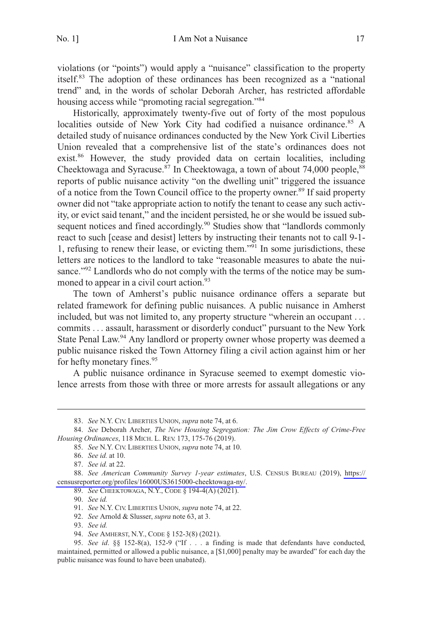violations (or "points") would apply a "nuisance" classification to the property itself.83 The adoption of these ordinances has been recognized as a "national trend" and, in the words of scholar Deborah Archer, has restricted affordable housing access while "promoting racial segregation."<sup>84</sup>

Historically, approximately twenty-five out of forty of the most populous localities outside of New York City had codified a nuisance ordinance.<sup>85</sup> A detailed study of nuisance ordinances conducted by the New York Civil Liberties Union revealed that a comprehensive list of the state's ordinances does not exist.<sup>86</sup> However, the study provided data on certain localities, including Cheektowaga and Syracuse.<sup>87</sup> In Cheektowaga, a town of about 74,000 people,<sup>88</sup> reports of public nuisance activity "on the dwelling unit" triggered the issuance of a notice from the Town Council office to the property owner.<sup>89</sup> If said property owner did not "take appropriate action to notify the tenant to cease any such activity, or evict said tenant," and the incident persisted, he or she would be issued subsequent notices and fined accordingly.<sup>90</sup> Studies show that "landlords commonly react to such [cease and desist] letters by instructing their tenants not to call 9-1- 1, refusing to renew their lease, or evicting them."<sup>91</sup> In some jurisdictions, these letters are notices to the landlord to take "reasonable measures to abate the nuisance."<sup>92</sup> Landlords who do not comply with the terms of the notice may be summoned to appear in a civil court action.<sup>93</sup>

The town of Amherst's public nuisance ordinance offers a separate but related framework for defining public nuisances. A public nuisance in Amherst included, but was not limited to, any property structure "wherein an occupant . . . commits . . . assault, harassment or disorderly conduct" pursuant to the New York State Penal Law.<sup>94</sup> Any landlord or property owner whose property was deemed a public nuisance risked the Town Attorney filing a civil action against him or her for hefty monetary fines.<sup>95</sup>

A public nuisance ordinance in Syracuse seemed to exempt domestic violence arrests from those with three or more arrests for assault allegations or any

90. *See id.* 

<sup>83.</sup> *See* N.Y. CIV. LIBERTIES UNION, *supra* note 74, at 6.

<sup>84.</sup> *See* Deborah Archer, *The New Housing Segregation: The Jim Crow Effects of Crime-Free Housing Ordinances*, 118 MICH. L. REV. 173, 175-76 (2019).

<sup>85.</sup> *See* N.Y. CIV. LIBERTIES UNION, *supra* note 74, at 10.

<sup>86.</sup> *See id.* at 10.

<sup>87.</sup> *See id.* at 22.

*See American Community Survey 1-year estimates*, U.S. CENSUS BUREAU (2019), [https://](https://censusreporter.org/profiles/16000US3615000-cheektowaga-ny/)  88. [censusreporter.org/profiles/16000US3615000-cheektowaga-ny/](https://censusreporter.org/profiles/16000US3615000-cheektowaga-ny/).

<sup>89.</sup> *See* CHEEKTOWAGA, N.Y., CODE § 194-4(A) (2021).

<sup>91.</sup> *See* N.Y. CIV. LIBERTIES UNION, *supra* note 74, at 22.

<sup>92.</sup> *See* Arnold & Slusser, *supra* note 63, at 3.

<sup>93.</sup> *See id.* 

<sup>94.</sup> *See* AMHERST, N.Y., CODE § 152-3(8) (2021).

<sup>95.</sup> *See id*. §§ 152-8(a), 152-9 ("If . . . a finding is made that defendants have conducted, maintained, permitted or allowed a public nuisance, a [\$1,000] penalty may be awarded" for each day the public nuisance was found to have been unabated).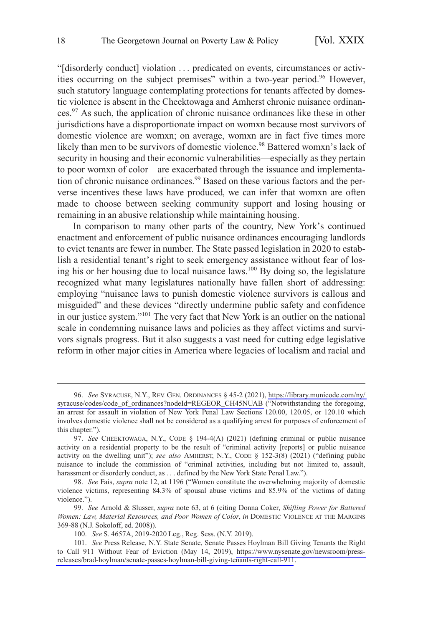"[disorderly conduct] violation . . . predicated on events, circumstances or activities occurring on the subject premises" within a two-year period.<sup>96</sup> However, such statutory language contemplating protections for tenants affected by domestic violence is absent in the Cheektowaga and Amherst chronic nuisance ordinances.97 As such, the application of chronic nuisance ordinances like these in other jurisdictions have a disproportionate impact on womxn because most survivors of domestic violence are womxn; on average, womxn are in fact five times more likely than men to be survivors of domestic violence.<sup>98</sup> Battered womxn's lack of security in housing and their economic vulnerabilities—especially as they pertain to poor womxn of color—are exacerbated through the issuance and implementation of chronic nuisance ordinances.<sup>99</sup> Based on these various factors and the perverse incentives these laws have produced, we can infer that womxn are often made to choose between seeking community support and losing housing or remaining in an abusive relationship while maintaining housing.

In comparison to many other parts of the country, New York's continued enactment and enforcement of public nuisance ordinances encouraging landlords to evict tenants are fewer in number. The State passed legislation in 2020 to establish a residential tenant's right to seek emergency assistance without fear of losing his or her housing due to local nuisance laws.100 By doing so, the legislature recognized what many legislatures nationally have fallen short of addressing: employing "nuisance laws to punish domestic violence survivors is callous and misguided" and these devices "directly undermine public safety and confidence in our justice system."<sup>101</sup> The very fact that New York is an outlier on the national scale in condemning nuisance laws and policies as they affect victims and survivors signals progress. But it also suggests a vast need for cutting edge legislative reform in other major cities in America where legacies of localism and racial and

*See* SYRACUSE, N.Y., REV. GEN. ORDINANCES § 45-2 (2021), [https://library.municode.com/ny/](https://library.municode.com/ny/syracuse/codes/code_of_ordinances?nodeId=REGEOR_CH45NUAB)  96. [syracuse/codes/code\\_of\\_ordinances?nodeId=REGEOR\\_CH45NUAB](https://library.municode.com/ny/syracuse/codes/code_of_ordinances?nodeId=REGEOR_CH45NUAB) ("Notwithstanding the foregoing, an arrest for assault in violation of New York Penal Law Sections 120.00, 120.05, or 120.10 which involves domestic violence shall not be considered as a qualifying arrest for purposes of enforcement of this chapter.").

<sup>97.</sup> *See* CHEEKTOWAGA, N.Y., CODE § 194-4(A) (2021) (defining criminal or public nuisance activity on a residential property to be the result of "criminal activity [reports] or public nuisance activity on the dwelling unit"); *see also* AMHERST, N.Y., CODE § 152-3(8) (2021) ("defining public nuisance to include the commission of "criminal activities, including but not limited to, assault, harassment or disorderly conduct, as . . . defined by the New York State Penal Law.").

<sup>98.</sup> *See* Fais, *supra* note 12, at 1196 ("Women constitute the overwhelming majority of domestic violence victims, representing 84.3% of spousal abuse victims and 85.9% of the victims of dating violence.").

<sup>99.</sup> *See* Arnold & Slusser, *supra* note 63, at 6 (citing Donna Coker, *Shifting Power for Battered Women: Law, Material Resources, and Poor Women of Color*, *in* DOMESTIC VIOLENCE AT THE MARGINS 369-88 (N.J. Sokoloff, ed. 2008)).

<sup>100.</sup> *See* S. 4657A, 2019-2020 Leg., Reg. Sess. (N.Y. 2019).

<sup>101.</sup> *See* Press Release, N.Y. State Senate, Senate Passes Hoylman Bill Giving Tenants the Right to Call 911 Without Fear of Eviction (May 14, 2019), [https://www.nysenate.gov/newsroom/press](https://www.nysenate.gov/newsroom/press-releases/brad-hoylman/senate-passes-hoylman-bill-giving-tenants-right-call-911)[releases/brad-hoylman/senate-passes-hoylman-bill-giving-tenants-right-call-911](https://www.nysenate.gov/newsroom/press-releases/brad-hoylman/senate-passes-hoylman-bill-giving-tenants-right-call-911).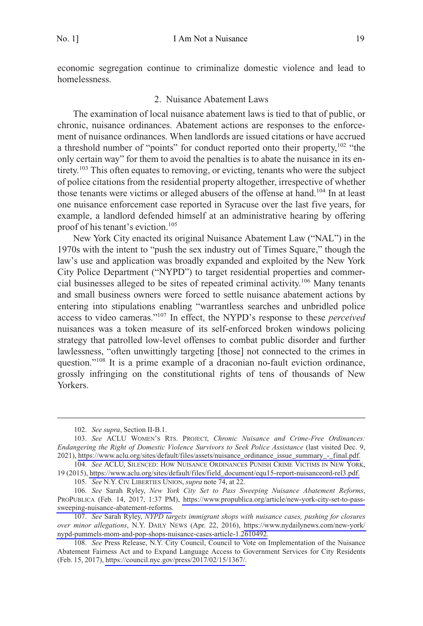<span id="page-18-0"></span>economic segregation continue to criminalize domestic violence and lead to homelessness.

#### 2. Nuisance Abatement Laws

The examination of local nuisance abatement laws is tied to that of public, or chronic, nuisance ordinances. Abatement actions are responses to the enforcement of nuisance ordinances. When landlords are issued citations or have accrued a threshold number of "points" for conduct reported onto their property,<sup>102</sup> "the only certain way" for them to avoid the penalties is to abate the nuisance in its entirety.<sup>103</sup> This often equates to removing, or evicting, tenants who were the subject of police citations from the residential property altogether, irrespective of whether those tenants were victims or alleged abusers of the offense at hand.<sup>104</sup> In at least one nuisance enforcement case reported in Syracuse over the last five years, for example, a landlord defended himself at an administrative hearing by offering proof of his tenant's eviction.<sup>105</sup>

New York City enacted its original Nuisance Abatement Law ("NAL") in the 1970s with the intent to "push the sex industry out of Times Square," though the law's use and application was broadly expanded and exploited by the New York City Police Department ("NYPD") to target residential properties and commercial businesses alleged to be sites of repeated criminal activity.<sup>106</sup> Many tenants and small business owners were forced to settle nuisance abatement actions by entering into stipulations enabling "warrantless searches and unbridled police access to video cameras."<sup>107</sup> In effect, the NYPD's response to these *perceived*  nuisances was a token measure of its self-enforced broken windows policing strategy that patrolled low-level offenses to combat public disorder and further lawlessness, "often unwittingly targeting [those] not connected to the crimes in question."<sup>108</sup> It is a prime example of a draconian no-fault eviction ordinance, grossly infringing on the constitutional rights of tens of thousands of New Yorkers.

<sup>102.</sup> *See supra*, Section II-B.1.

*See* ACLU WOMEN'S RTS. PROJECT, *Chronic Nuisance and Crime-Free Ordinances:*  103. *Endangering the Right of Domestic Violence Survivors to Seek Police Assistance* (last visited Dec. 9, 2021), [https://www.aclu.org/sites/default/files/assets/nuisance\\_ordinance\\_issue\\_summary\\_-\\_final.pdf.](https://www.aclu.org/sites/default/files/assets/nuisance_ordinance_issue_summary_-_final.pdf)

<sup>104.</sup> See ACLU, SILENCED: HOW NUISANCE ORDINANCES PUNISH CRIME VICTIMS IN NEW YORK, 19 (2015), [https://www.aclu.org/sites/default/files/field\\_document/equ15-report-nuisanceord-rel3.pdf.](https://www.aclu.org/sites/default/files/field_document/equ15-report-nuisanceord-rel3.pdf)

<sup>105.</sup> *See* N.Y. CIV. LIBERTIES UNION, *supra* note 74, at 22.

*See* Sarah Ryley, *New York City Set to Pass Sweeping Nuisance Abatement Reforms*, 106. PROPUBLICA (Feb. 14, 2017, 1:37 PM), [https://www.propublica.org/article/new-york-city-set-to-pass](https://www.propublica.org/article/new-york-city-set-to-pass-sweeping-nuisance-abatement-reforms)[sweeping-nuisance-abatement-reforms](https://www.propublica.org/article/new-york-city-set-to-pass-sweeping-nuisance-abatement-reforms).

*See* Sarah Ryley, *NYPD targets immigrant shops with nuisance cases, pushing for closures*  107. *over minor allegations*, N.Y. DAILY NEWS (Apr. 22, 2016), [https://www.nydailynews.com/new-york/](https://www.nydailynews.com/new-york/nypd-pummels-mom-and-pop-shops-nuisance-cases-article-1.2610492)  [nypd-pummels-mom-and-pop-shops-nuisance-cases-article-1.2610492.](https://www.nydailynews.com/new-york/nypd-pummels-mom-and-pop-shops-nuisance-cases-article-1.2610492)

<sup>108.</sup> See Press Release, N.Y. City Council, Council to Vote on Implementation of the Nuisance Abatement Fairness Act and to Expand Language Access to Government Services for City Residents (Feb. 15, 2017), [https://council.nyc.gov/press/2017/02/15/1367/.](https://council.nyc.gov/press/2017/02/15/1367/)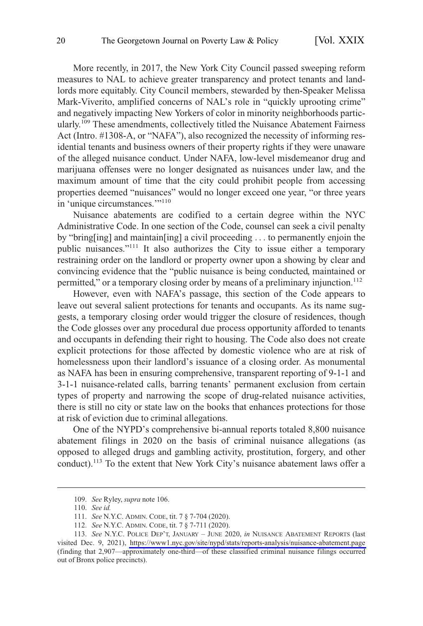More recently, in 2017, the New York City Council passed sweeping reform measures to NAL to achieve greater transparency and protect tenants and landlords more equitably. City Council members, stewarded by then-Speaker Melissa Mark-Viverito, amplified concerns of NAL's role in "quickly uprooting crime" and negatively impacting New Yorkers of color in minority neighborhoods particularly.109 These amendments, collectively titled the Nuisance Abatement Fairness Act (Intro. #1308-A, or "NAFA"), also recognized the necessity of informing residential tenants and business owners of their property rights if they were unaware of the alleged nuisance conduct. Under NAFA, low-level misdemeanor drug and marijuana offenses were no longer designated as nuisances under law, and the maximum amount of time that the city could prohibit people from accessing properties deemed "nuisances" would no longer exceed one year, "or three years in 'unique circumstances.'"<sup>110</sup>

Nuisance abatements are codified to a certain degree within the NYC Administrative Code. In one section of the Code, counsel can seek a civil penalty by "bring[ing] and maintain[ing] a civil proceeding . . . to permanently enjoin the public nuisances."111 It also authorizes the City to issue either a temporary restraining order on the landlord or property owner upon a showing by clear and convincing evidence that the "public nuisance is being conducted, maintained or permitted," or a temporary closing order by means of a preliminary injunction.<sup>112</sup>

However, even with NAFA's passage, this section of the Code appears to leave out several salient protections for tenants and occupants. As its name suggests, a temporary closing order would trigger the closure of residences, though the Code glosses over any procedural due process opportunity afforded to tenants and occupants in defending their right to housing. The Code also does not create explicit protections for those affected by domestic violence who are at risk of homelessness upon their landlord's issuance of a closing order. As monumental as NAFA has been in ensuring comprehensive, transparent reporting of 9-1-1 and 3-1-1 nuisance-related calls, barring tenants' permanent exclusion from certain types of property and narrowing the scope of drug-related nuisance activities, there is still no city or state law on the books that enhances protections for those at risk of eviction due to criminal allegations.

One of the NYPD's comprehensive bi-annual reports totaled 8,800 nuisance abatement filings in 2020 on the basis of criminal nuisance allegations (as opposed to alleged drugs and gambling activity, prostitution, forgery, and other conduct).113 To the extent that New York City's nuisance abatement laws offer a

<sup>109.</sup> *See* Ryley, *supra* note 106.

<sup>110.</sup> *See id.* 

<sup>111.</sup> *See* N.Y.C. ADMIN. CODE, tit. 7 § 7-704 (2020).

<sup>112.</sup> *See* N.Y.C. ADMIN. CODE, tit. 7 § 7-711 (2020).

*See* N.Y.C. POLICE DEP'T, JANUARY – JUNE 2020, *in* NUISANCE ABATEMENT REPORTS (last 113. visited Dec. 9, 2021), <https://www1.nyc.gov/site/nypd/stats/reports-analysis/nuisance-abatement.page> (finding that 2,907—approximately one-third—of these classified criminal nuisance filings occurred out of Bronx police precincts).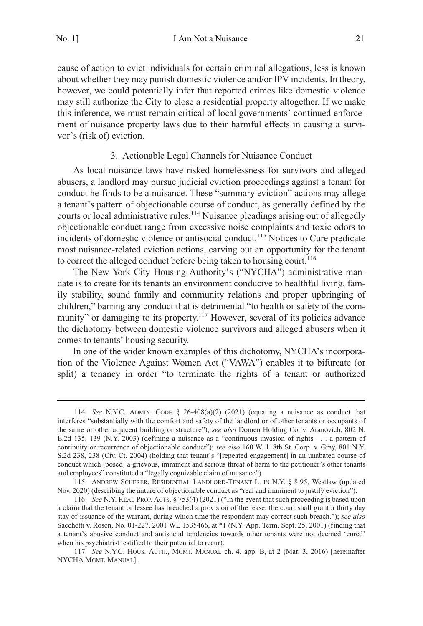<span id="page-20-0"></span>cause of action to evict individuals for certain criminal allegations, less is known about whether they may punish domestic violence and/or IPV incidents. In theory, however, we could potentially infer that reported crimes like domestic violence may still authorize the City to close a residential property altogether. If we make this inference, we must remain critical of local governments' continued enforcement of nuisance property laws due to their harmful effects in causing a survivor's (risk of) eviction.

## 3. Actionable Legal Channels for Nuisance Conduct

As local nuisance laws have risked homelessness for survivors and alleged abusers, a landlord may pursue judicial eviction proceedings against a tenant for conduct he finds to be a nuisance. These "summary eviction" actions may allege a tenant's pattern of objectionable course of conduct, as generally defined by the courts or local administrative rules.<sup>114</sup> Nuisance pleadings arising out of allegedly objectionable conduct range from excessive noise complaints and toxic odors to incidents of domestic violence or antisocial conduct.<sup>115</sup> Notices to Cure predicate most nuisance-related eviction actions, carving out an opportunity for the tenant to correct the alleged conduct before being taken to housing court.<sup>116</sup>

The New York City Housing Authority's ("NYCHA") administrative mandate is to create for its tenants an environment conducive to healthful living, family stability, sound family and community relations and proper upbringing of children," barring any conduct that is detrimental "to health or safety of the community" or damaging to its property.<sup>117</sup> However, several of its policies advance the dichotomy between domestic violence survivors and alleged abusers when it comes to tenants' housing security.

In one of the wider known examples of this dichotomy, NYCHA's incorporation of the Violence Against Women Act ("VAWA") enables it to bifurcate (or split) a tenancy in order "to terminate the rights of a tenant or authorized

<sup>114.</sup> *See* N.Y.C. ADMIN. CODE § 26-408(a)(2) (2021) (equating a nuisance as conduct that interferes "substantially with the comfort and safety of the landlord or of other tenants or occupants of the same or other adjacent building or structure"); *see also* Domen Holding Co. v. Aranovich, 802 N. E.2d 135, 139 (N.Y. 2003) (defining a nuisance as a "continuous invasion of rights . . . a pattern of continuity or recurrence of objectionable conduct"); *see also* 160 W. 118th St. Corp. v. Gray, 801 N.Y. S.2d 238, 238 (Civ. Ct. 2004) (holding that tenant's "[repeated engagement] in an unabated course of conduct which [posed] a grievous, imminent and serious threat of harm to the petitioner's other tenants and employees" constituted a "legally cognizable claim of nuisance").

<sup>115.</sup> ANDREW SCHERER, RESIDENTIAL LANDLORD-TENANT L. IN N.Y. § 8:95, Westlaw (updated Nov. 2020) (describing the nature of objectionable conduct as "real and imminent to justify eviction").

<sup>116.</sup> *See* N.Y. REAL PROP. ACTS. § 753(4) (2021) ("In the event that such proceeding is based upon a claim that the tenant or lessee has breached a provision of the lease, the court shall grant a thirty day stay of issuance of the warrant, during which time the respondent may correct such breach."); *see also*  Sacchetti v. Rosen, No. 01-227, 2001 WL 1535466, at \*1 (N.Y. App. Term. Sept. 25, 2001) (finding that a tenant's abusive conduct and antisocial tendencies towards other tenants were not deemed 'cured' when his psychiatrist testified to their potential to recur).

<sup>117.</sup> *See* N.Y.C. HOUS. AUTH., MGMT. MANUAL ch. 4, app. B, at 2 (Mar. 3, 2016) [hereinafter NYCHA MGMT. MANUAL].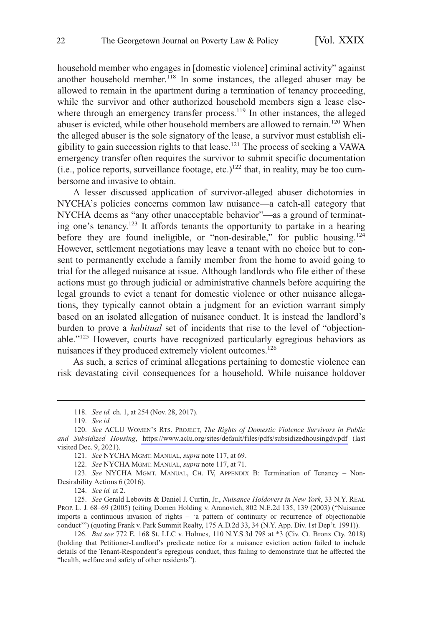household member who engages in [domestic violence] criminal activity" against another household member.<sup>118</sup> In some instances, the alleged abuser may be allowed to remain in the apartment during a termination of tenancy proceeding, while the survivor and other authorized household members sign a lease elsewhere through an emergency transfer process.<sup>119</sup> In other instances, the alleged abuser is evicted, while other household members are allowed to remain.<sup>120</sup> When the alleged abuser is the sole signatory of the lease, a survivor must establish eligibility to gain succession rights to that lease.121 The process of seeking a VAWA emergency transfer often requires the survivor to submit specific documentation (i.e., police reports, surveillance footage, etc.)<sup>122</sup> that, in reality, may be too cumbersome and invasive to obtain.

A lesser discussed application of survivor-alleged abuser dichotomies in NYCHA's policies concerns common law nuisance—a catch-all category that NYCHA deems as "any other unacceptable behavior"—as a ground of terminating one's tenancy.123 It affords tenants the opportunity to partake in a hearing before they are found ineligible, or "non-desirable," for public housing.<sup>124</sup> However, settlement negotiations may leave a tenant with no choice but to consent to permanently exclude a family member from the home to avoid going to trial for the alleged nuisance at issue. Although landlords who file either of these actions must go through judicial or administrative channels before acquiring the legal grounds to evict a tenant for domestic violence or other nuisance allegations, they typically cannot obtain a judgment for an eviction warrant simply based on an isolated allegation of nuisance conduct. It is instead the landlord's burden to prove a *habitual* set of incidents that rise to the level of "objectionable."125 However, courts have recognized particularly egregious behaviors as nuisances if they produced extremely violent outcomes.<sup>126</sup>

As such, a series of criminal allegations pertaining to domestic violence can risk devastating civil consequences for a household. While nuisance holdover

124. *See id.* at 2.

<sup>118.</sup> *See id.* ch. 1, at 254 (Nov. 28, 2017).

<sup>119.</sup> *See id.* 

*See* ACLU WOMEN'S RTS. PROJECT, *The Rights of Domestic Violence Survivors in Public*  120. *and Subsidized Housing*, <https://www.aclu.org/sites/default/files/pdfs/subsidizedhousingdv.pdf>(last visited Dec. 9, 2021).

<sup>121.</sup> *See* NYCHA MGMT. MANUAL, *supra* note 117, at 69.

<sup>122.</sup> *See* NYCHA MGMT. MANUAL, *supra* note 117, at 71.

<sup>123.</sup> *See* NYCHA MGMT. MANUAL, CH. IV, APPENDIX B: Termination of Tenancy – Non-Desirability Actions 6 (2016).

<sup>125.</sup> *See* Gerald Lebovits & Daniel J. Curtin, Jr., *Nuisance Holdovers in New York*, 33 N.Y. REAL PROP. L. J. 68–69 (2005) (citing Domen Holding v. Aranovich, 802 N.E.2d 135, 139 (2003) ("Nuisance imports a continuous invasion of rights – 'a pattern of continuity or recurrence of objectionable conduct'") (quoting Frank v. Park Summit Realty, 175 A.D.2d 33, 34 (N.Y. App. Div. 1st Dep't. 1991)).

<sup>126.</sup> *But see* 772 E. 168 St. LLC v. Holmes, 110 N.Y.S.3d 798 at \*3 (Civ. Ct. Bronx Cty. 2018) (holding that Petitioner-Landlord's predicate notice for a nuisance eviction action failed to include details of the Tenant-Respondent's egregious conduct, thus failing to demonstrate that he affected the "health, welfare and safety of other residents").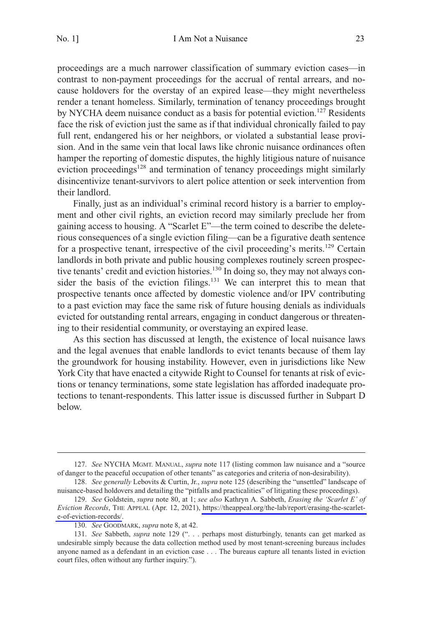proceedings are a much narrower classification of summary eviction cases—in contrast to non-payment proceedings for the accrual of rental arrears, and nocause holdovers for the overstay of an expired lease—they might nevertheless render a tenant homeless. Similarly, termination of tenancy proceedings brought by NYCHA deem nuisance conduct as a basis for potential eviction.<sup>127</sup> Residents face the risk of eviction just the same as if that individual chronically failed to pay full rent, endangered his or her neighbors, or violated a substantial lease provision. And in the same vein that local laws like chronic nuisance ordinances often hamper the reporting of domestic disputes, the highly litigious nature of nuisance eviction proceedings<sup>128</sup> and termination of tenancy proceedings might similarly disincentivize tenant-survivors to alert police attention or seek intervention from their landlord.

Finally, just as an individual's criminal record history is a barrier to employment and other civil rights, an eviction record may similarly preclude her from gaining access to housing. A "Scarlet E"—the term coined to describe the deleterious consequences of a single eviction filing—can be a figurative death sentence for a prospective tenant, irrespective of the civil proceeding's merits.<sup>129</sup> Certain landlords in both private and public housing complexes routinely screen prospective tenants' credit and eviction histories.<sup>130</sup> In doing so, they may not always consider the basis of the eviction filings. $131$  We can interpret this to mean that prospective tenants once affected by domestic violence and/or IPV contributing to a past eviction may face the same risk of future housing denials as individuals evicted for outstanding rental arrears, engaging in conduct dangerous or threatening to their residential community, or overstaying an expired lease.

As this section has discussed at length, the existence of local nuisance laws and the legal avenues that enable landlords to evict tenants because of them lay the groundwork for housing instability. However, even in jurisdictions like New York City that have enacted a citywide Right to Counsel for tenants at risk of evictions or tenancy terminations, some state legislation has afforded inadequate protections to tenant-respondents. This latter issue is discussed further in Subpart D below.

<sup>127.</sup> *See* NYCHA MGMT. MANUAL, *supra* note 117 (listing common law nuisance and a "source of danger to the peaceful occupation of other tenants" as categories and criteria of non-desirability).

<sup>128.</sup> *See generally* Lebovits & Curtin, Jr., *supra* note 125 (describing the "unsettled" landscape of nuisance-based holdovers and detailing the "pitfalls and practicalities" of litigating these proceedings).

*See* Goldstein, *supra* note 80, at 1; *see also* Kathryn A. Sabbeth, *Erasing the 'Scarlet E' of*  129. *Eviction Records*, THE APPEAL (Apr. 12, 2021), [https://theappeal.org/the-lab/report/erasing-the-scarlet](https://theappeal.org/the-lab/report/erasing-the-scarlet-e-of-eviction-records/)[e-of-eviction-records/](https://theappeal.org/the-lab/report/erasing-the-scarlet-e-of-eviction-records/).

<sup>130.</sup> *See* GOODMARK, *supra* note 8, at 42.

<sup>131.</sup> *See* Sabbeth, *supra* note 129 (". . . perhaps most disturbingly, tenants can get marked as undesirable simply because the data collection method used by most tenant-screening bureaus includes anyone named as a defendant in an eviction case . . . The bureaus capture all tenants listed in eviction court files, often without any further inquiry.").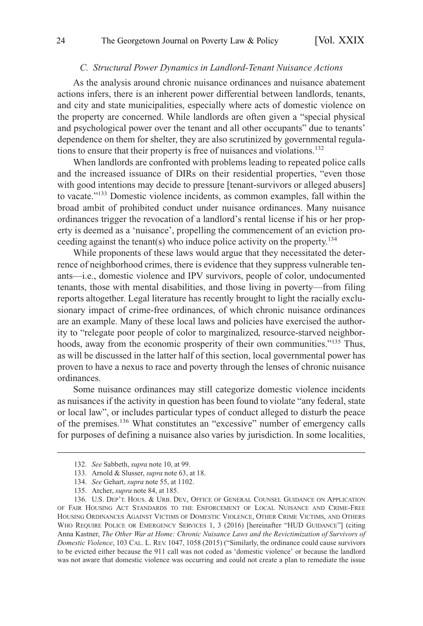#### *C. Structural Power Dynamics in Landlord-Tenant Nuisance Actions*

<span id="page-23-0"></span>As the analysis around chronic nuisance ordinances and nuisance abatement actions infers, there is an inherent power differential between landlords, tenants, and city and state municipalities, especially where acts of domestic violence on the property are concerned. While landlords are often given a "special physical and psychological power over the tenant and all other occupants" due to tenants' dependence on them for shelter, they are also scrutinized by governmental regulations to ensure that their property is free of nuisances and violations.<sup>132</sup>

When landlords are confronted with problems leading to repeated police calls and the increased issuance of DIRs on their residential properties, "even those with good intentions may decide to pressure [tenant-survivors or alleged abusers] to vacate."133 Domestic violence incidents, as common examples, fall within the broad ambit of prohibited conduct under nuisance ordinances. Many nuisance ordinances trigger the revocation of a landlord's rental license if his or her property is deemed as a 'nuisance', propelling the commencement of an eviction proceeding against the tenant(s) who induce police activity on the property.134

While proponents of these laws would argue that they necessitated the deterrence of neighborhood crimes, there is evidence that they suppress vulnerable tenants—i.e., domestic violence and IPV survivors, people of color, undocumented tenants, those with mental disabilities, and those living in poverty—from filing reports altogether. Legal literature has recently brought to light the racially exclusionary impact of crime-free ordinances, of which chronic nuisance ordinances are an example. Many of these local laws and policies have exercised the authority to "relegate poor people of color to marginalized, resource-starved neighborhoods, away from the economic prosperity of their own communities."135 Thus, as will be discussed in the latter half of this section, local governmental power has proven to have a nexus to race and poverty through the lenses of chronic nuisance ordinances.

Some nuisance ordinances may still categorize domestic violence incidents as nuisances if the activity in question has been found to violate "any federal, state or local law", or includes particular types of conduct alleged to disturb the peace of the premises.<sup>136</sup> What constitutes an "excessive" number of emergency calls for purposes of defining a nuisance also varies by jurisdiction. In some localities,

<sup>132.</sup> *See* Sabbeth, *supra* note 10, at 99.

<sup>133.</sup> Arnold & Slusser, *supra* note 63, at 18.

<sup>134.</sup> *See* Gehart, *supra* note 55, at 1102.

<sup>135.</sup> Archer, *supra* note 84, at 185.

<sup>136.</sup> U.S. DEP'T. HOUS. & URB. DEV., OFFICE OF GENERAL COUNSEL GUIDANCE ON APPLICATION OF FAIR HOUSING ACT STANDARDS TO THE ENFORCEMENT OF LOCAL NUISANCE AND CRIME-FREE HOUSING ORDINANCES AGAINST VICTIMS OF DOMESTIC VIOLENCE, OTHER CRIME VICTIMS, AND OTHERS WHO REQUIRE POLICE OR EMERGENCY SERVICES 1, 3 (2016) [hereinafter "HUD GUIDANCE"] (citing Anna Kastner, *The Other War at Home: Chronic Nuisance Laws and the Revictimization of Survivors of Domestic Violence*, 103 CAL. L. REV. 1047, 1058 (2015) ("Similarly, the ordinance could cause survivors to be evicted either because the 911 call was not coded as 'domestic violence' or because the landlord was not aware that domestic violence was occurring and could not create a plan to remediate the issue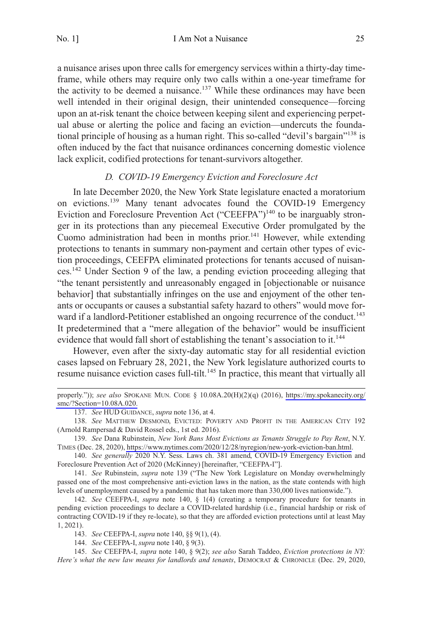<span id="page-24-0"></span>a nuisance arises upon three calls for emergency services within a thirty-day timeframe, while others may require only two calls within a one-year timeframe for the activity to be deemed a nuisance.<sup>137</sup> While these ordinances may have been well intended in their original design, their unintended consequence—forcing upon an at-risk tenant the choice between keeping silent and experiencing perpetual abuse or alerting the police and facing an eviction—undercuts the foundational principle of housing as a human right. This so-called "devil's bargain"<sup>138</sup> is often induced by the fact that nuisance ordinances concerning domestic violence lack explicit, codified protections for tenant-survivors altogether.

### *D. COVID-19 Emergency Eviction and Foreclosure Act*

In late December 2020, the New York State legislature enacted a moratorium on evictions.<sup>139</sup> Many tenant advocates found the COVID-19 Emergency Eviction and Foreclosure Prevention Act ("CEEFPA")<sup>140</sup> to be inarguably stronger in its protections than any piecemeal Executive Order promulgated by the Cuomo administration had been in months prior.<sup>141</sup> However, while extending protections to tenants in summary non-payment and certain other types of eviction proceedings, CEEFPA eliminated protections for tenants accused of nuisances.142 Under Section 9 of the law, a pending eviction proceeding alleging that "the tenant persistently and unreasonably engaged in [objectionable or nuisance behavior] that substantially infringes on the use and enjoyment of the other tenants or occupants or causes a substantial safety hazard to others" would move forward if a landlord-Petitioner established an ongoing recurrence of the conduct.<sup>143</sup> It predetermined that a "mere allegation of the behavior" would be insufficient evidence that would fall short of establishing the tenant's association to it.<sup>144</sup>

However, even after the sixty-day automatic stay for all residential eviction cases lapsed on February 28, 2021, the New York legislature authorized courts to resume nuisance eviction cases full-tilt.<sup>145</sup> In practice, this meant that virtually all

properly.")); *see also* SPOKANE MUN. CODE § 10.08A.20(H)(2)(q) (2016), [https://my.spokanecity.org/](https://my.spokanecity.org/smc/?Section=10.08A.020)  [smc/?Section=10.08A.020.](https://my.spokanecity.org/smc/?Section=10.08A.020)

<sup>137.</sup> *See* HUD GUIDANCE, *supra* note 136, at 4.

<sup>138.</sup> *See* MATTHEW DESMOND, EVICTED: POVERTY AND PROFIT IN THE AMERICAN CITY 192 (Arnold Rampersad & David Rossel eds., 1st ed. 2016).

*See* Dana Rubinstein, *New York Bans Most Evictions as Tenants Struggle to Pay Rent*, N.Y. 139. TIMES (Dec. 28, 2020),<https://www.nytimes.com/2020/12/28/nyregion/new-york-eviction-ban.html>.

<sup>140.</sup> *See generally* 2020 N.Y. Sess. Laws ch. 381 amend, COVID-19 Emergency Eviction and Foreclosure Prevention Act of 2020 (McKinney) [hereinafter, "CEEFPA-I"].

<sup>141.</sup> *See* Rubinstein, *supra* note 139 ("The New York Legislature on Monday overwhelmingly passed one of the most comprehensive anti-eviction laws in the nation, as the state contends with high levels of unemployment caused by a pandemic that has taken more than 330,000 lives nationwide.").

<sup>142.</sup> *See* CEEFPA-I, *supra* note 140, § 1(4) (creating a temporary procedure for tenants in pending eviction proceedings to declare a COVID-related hardship (i.e., financial hardship or risk of contracting COVID-19 if they re-locate), so that they are afforded eviction protections until at least May 1, 2021).

<sup>143.</sup> *See* CEEFPA-I, *supra* note 140, §§ 9(1), (4).

<sup>144.</sup> *See* CEEFPA-I, *supra* note 140, § 9(3).

<sup>145.</sup> *See* CEEFPA-I, *supra* note 140, § 9(2); *see also* Sarah Taddeo, *Eviction protections in NY: Here's what the new law means for landlords and tenants*, DEMOCRAT & CHRONICLE (Dec. 29, 2020,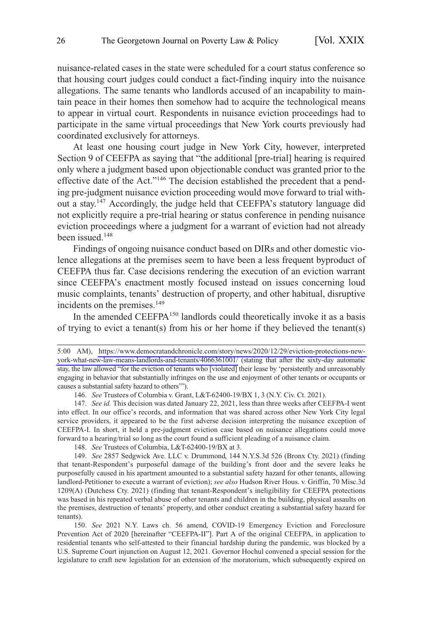nuisance-related cases in the state were scheduled for a court status conference so that housing court judges could conduct a fact-finding inquiry into the nuisance allegations. The same tenants who landlords accused of an incapability to maintain peace in their homes then somehow had to acquire the technological means to appear in virtual court. Respondents in nuisance eviction proceedings had to participate in the same virtual proceedings that New York courts previously had coordinated exclusively for attorneys.

At least one housing court judge in New York City, however, interpreted Section 9 of CEEFPA as saying that "the additional [pre-trial] hearing is required only where a judgment based upon objectionable conduct was granted prior to the effective date of the Act."146 The decision established the precedent that a pending pre-judgment nuisance eviction proceeding would move forward to trial without a stay.147 Accordingly, the judge held that CEEFPA's statutory language did not explicitly require a pre-trial hearing or status conference in pending nuisance eviction proceedings where a judgment for a warrant of eviction had not already been issued.<sup>148</sup>

Findings of ongoing nuisance conduct based on DIRs and other domestic violence allegations at the premises seem to have been a less frequent byproduct of CEEFPA thus far. Case decisions rendering the execution of an eviction warrant since CEEFPA's enactment mostly focused instead on issues concerning loud music complaints, tenants' destruction of property, and other habitual, disruptive incidents on the premises.<sup>149</sup>

In the amended CEEFPA<sup>150</sup> landlords could theoretically invoke it as a basis of trying to evict a tenant(s) from his or her home if they believed the tenant(s)

150. See 2021 N.Y. Laws ch. 56 amend, COVID-19 Emergency Eviction and Foreclosure Prevention Act of 2020 [hereinafter "CEEFPA-II"]. Part A of the original CEEFPA, in application to residential tenants who self-attested to their financial hardship during the pandemic, was blocked by a U.S. Supreme Court injunction on August 12, 2021. Governor Hochul convened a special session for the legislature to craft new legislation for an extension of the moratorium, which subsequently expired on

<sup>5:00</sup> AM), [https://www.democratandchronicle.com/story/news/2020/12/29/eviction-protections-new](https://www.democratandchronicle.com/story/news/2020/12/29/eviction-protections-new-york-what-new-law-means-landlords-and-tenants/4066361001/)[york-what-new-law-means-landlords-and-tenants/4066361001/](https://www.democratandchronicle.com/story/news/2020/12/29/eviction-protections-new-york-what-new-law-means-landlords-and-tenants/4066361001/) (stating that after the sixty-day automatic stay, the law allowed "for the eviction of tenants who [violated] their lease by 'persistently and unreasonably engaging in behavior that substantially infringes on the use and enjoyment of other tenants or occupants or causes a substantial safety hazard to others'").

<sup>146.</sup> *See* Trustees of Columbia v. Grant, L&T-62400-19/BX 1, 3 (N.Y. Civ. Ct. 2021).

<sup>147.</sup> *See id.* This decision was dated January 22, 2021, less than three weeks after CEEFPA-I went into effect. In our office's records, and information that was shared across other New York City legal service providers, it appeared to be the first adverse decision interpreting the nuisance exception of CEEFPA-I. In short, it held a pre-judgment eviction case based on nuisance allegations could move forward to a hearing/trial so long as the court found a sufficient pleading of a nuisance claim.

<sup>148.</sup> *See* Trustees of Columbia, L&T-62400-19/BX at 3.

<sup>149.</sup> *See* 2857 Sedgwick Ave. LLC v. Drummond, 144 N.Y.S.3d 526 (Bronx Cty. 2021) (finding that tenant-Respondent's purposeful damage of the building's front door and the severe leaks he purposefully caused in his apartment amounted to a substantial safety hazard for other tenants, allowing landlord-Petitioner to execute a warrant of eviction); *see also* Hudson River Hous. v. Griffin, 70 Misc.3d 1209(A) (Dutchess Cty. 2021) (finding that tenant-Respondent's ineligibility for CEEFPA protections was based in his repeated verbal abuse of other tenants and children in the building, physical assaults on the premises, destruction of tenants' property, and other conduct creating a substantial safety hazard for tenants).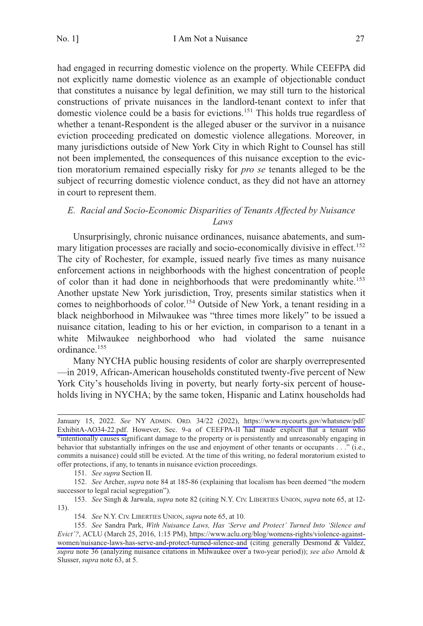<span id="page-26-0"></span>had engaged in recurring domestic violence on the property. While CEEFPA did not explicitly name domestic violence as an example of objectionable conduct that constitutes a nuisance by legal definition, we may still turn to the historical constructions of private nuisances in the landlord-tenant context to infer that domestic violence could be a basis for evictions.151 This holds true regardless of whether a tenant-Respondent is the alleged abuser or the survivor in a nuisance eviction proceeding predicated on domestic violence allegations. Moreover, in many jurisdictions outside of New York City in which Right to Counsel has still not been implemented, the consequences of this nuisance exception to the eviction moratorium remained especially risky for *pro se* tenants alleged to be the subject of recurring domestic violence conduct, as they did not have an attorney in court to represent them.

# *E. Racial and Socio-Economic Disparities of Tenants Affected by Nuisance Laws*

Unsurprisingly, chronic nuisance ordinances, nuisance abatements, and summary litigation processes are racially and socio-economically divisive in effect.<sup>152</sup> The city of Rochester, for example, issued nearly five times as many nuisance enforcement actions in neighborhoods with the highest concentration of people of color than it had done in neighborhoods that were predominantly white.<sup>153</sup> Another upstate New York jurisdiction, Troy, presents similar statistics when it comes to neighborhoods of color.<sup>154</sup> Outside of New York, a tenant residing in a black neighborhood in Milwaukee was "three times more likely" to be issued a nuisance citation, leading to his or her eviction, in comparison to a tenant in a white Milwaukee neighborhood who had violated the same nuisance ordinance.<sup>155</sup>

Many NYCHA public housing residents of color are sharply overrepresented —in 2019, African-American households constituted twenty-five percent of New York City's households living in poverty, but nearly forty-six percent of households living in NYCHA; by the same token, Hispanic and Latinx households had

151. *See supra* Section II.

152. *See* Archer, *supra* note 84 at 185-86 (explaining that localism has been deemed "the modern successor to legal racial segregation").

153. *See* Singh & Jarwala, *supra* note 82 (citing N.Y. CIV. LIBERTIES UNION, *supra* note 65, at 12- 13).

January 15, 2022. *See* NY ADMIN. ORD. 34/22 (2022), [https://www.nycourts.gov/whatsnew/pdf/](https://www.nycourts.gov/whatsnew/pdf/ExhibitA-AO34-22.pdf)  [ExhibitA-AO34-22.pdf.](https://www.nycourts.gov/whatsnew/pdf/ExhibitA-AO34-22.pdf) However, Sec. 9-a of CEEFPA-II had made explicit that a tenant who "intentionally causes significant damage to the property or is persistently and unreasonably engaging in behavior that substantially infringes on the use and enjoyment of other tenants or occupants . . ." (i.e., commits a nuisance) could still be evicted. At the time of this writing, no federal moratorium existed to offer protections, if any, to tenants in nuisance eviction proceedings.

<sup>154.</sup> *See* N.Y. CIV. LIBERTIES UNION, *supra* note 65, at 10.

*See* Sandra Park, *With Nuisance Laws, Has 'Serve and Protect' Turned Into 'Silence and*  155. *Evict'?*, ACLU (March 25, 2016, 1:15 PM), [https://www.aclu.org/blog/womens-rights/violence-against](https://www.aclu.org/blog/womens-rights/violence-against-women/nuisance-laws-has-serve-and-protect-turned-silence-and)[women/nuisance-laws-has-serve-and-protect-turned-silence-and](https://www.aclu.org/blog/womens-rights/violence-against-women/nuisance-laws-has-serve-and-protect-turned-silence-and) (citing generally Desmond & Valdez, *supra* note 36 (analyzing nuisance citations in Milwaukee over a two-year period)); *see also* Arnold & Slusser, *supra* note 63, at 5.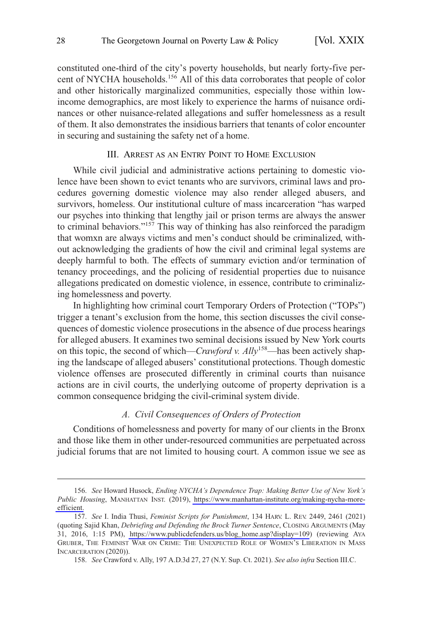<span id="page-27-0"></span>constituted one-third of the city's poverty households, but nearly forty-five percent of NYCHA households.<sup>156</sup> All of this data corroborates that people of color and other historically marginalized communities, especially those within lowincome demographics, are most likely to experience the harms of nuisance ordinances or other nuisance-related allegations and suffer homelessness as a result of them. It also demonstrates the insidious barriers that tenants of color encounter in securing and sustaining the safety net of a home.

#### III. ARREST AS AN ENTRY POINT TO HOME EXCLUSION

While civil judicial and administrative actions pertaining to domestic violence have been shown to evict tenants who are survivors, criminal laws and procedures governing domestic violence may also render alleged abusers, and survivors, homeless. Our institutional culture of mass incarceration "has warped our psyches into thinking that lengthy jail or prison terms are always the answer to criminal behaviors."<sup>157</sup> This way of thinking has also reinforced the paradigm that womxn are always victims and men's conduct should be criminalized, without acknowledging the gradients of how the civil and criminal legal systems are deeply harmful to both. The effects of summary eviction and/or termination of tenancy proceedings, and the policing of residential properties due to nuisance allegations predicated on domestic violence, in essence, contribute to criminalizing homelessness and poverty.

In highlighting how criminal court Temporary Orders of Protection ("TOPs") trigger a tenant's exclusion from the home, this section discusses the civil consequences of domestic violence prosecutions in the absence of due process hearings for alleged abusers. It examines two seminal decisions issued by New York courts on this topic, the second of which—*Crawford v. Ally*<sup>158</sup>—has been actively shaping the landscape of alleged abusers' constitutional protections. Though domestic violence offenses are prosecuted differently in criminal courts than nuisance actions are in civil courts, the underlying outcome of property deprivation is a common consequence bridging the civil-criminal system divide.

## *A. Civil Consequences of Orders of Protection*

Conditions of homelessness and poverty for many of our clients in the Bronx and those like them in other under-resourced communities are perpetuated across judicial forums that are not limited to housing court. A common issue we see as

*See* Howard Husock, *Ending NYCHA's Dependence Trap: Making Better Use of New York's*  156. *Public Housing*, MANHATTAN INST. (2019), [https://www.manhattan-institute.org/making-nycha-more](https://www.manhattan-institute.org/making-nycha-more-efficient)[efficient.](https://www.manhattan-institute.org/making-nycha-more-efficient)

*See* I. India Thusi, *Feminist Scripts for Punishment*, 134 HARV. L. REV. 2449, 2461 (2021) 157. (quoting Sajid Khan, *Debriefing and Defending the Brock Turner Sentence*, CLOSING ARGUMENTS (May 31, 2016, 1:15 PM), [https://www.publicdefenders.us/blog\\_home.asp?display=109](https://www.publicdefenders.us/blog_home.asp?display=109)) (reviewing AYA GRUBER, THE FEMINIST WAR ON CRIME: THE UNEXPECTED ROLE OF WOMEN'S LIBERATION IN MASS INCARCERATION (2020)).

<sup>158.</sup> *See* Crawford v. Ally, 197 A.D.3d 27, 27 (N.Y. Sup. Ct. 2021). *See also infra* Section III.C.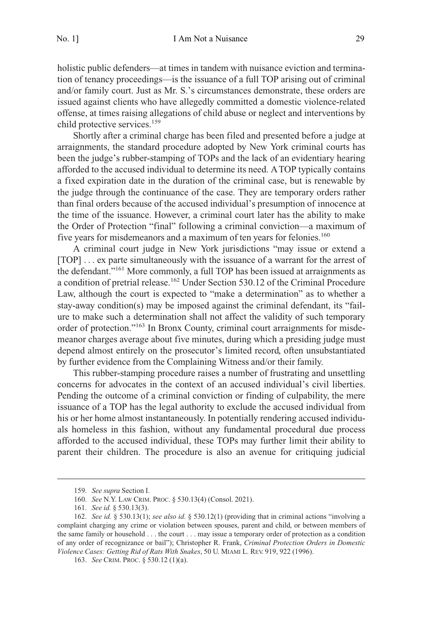holistic public defenders—at times in tandem with nuisance eviction and termination of tenancy proceedings—is the issuance of a full TOP arising out of criminal and/or family court. Just as Mr. S.'s circumstances demonstrate, these orders are issued against clients who have allegedly committed a domestic violence-related offense, at times raising allegations of child abuse or neglect and interventions by child protective services.<sup>159</sup>

Shortly after a criminal charge has been filed and presented before a judge at arraignments, the standard procedure adopted by New York criminal courts has been the judge's rubber-stamping of TOPs and the lack of an evidentiary hearing afforded to the accused individual to determine its need. A TOP typically contains a fixed expiration date in the duration of the criminal case, but is renewable by the judge through the continuance of the case. They are temporary orders rather than final orders because of the accused individual's presumption of innocence at the time of the issuance. However, a criminal court later has the ability to make the Order of Protection "final" following a criminal conviction—a maximum of five years for misdemeanors and a maximum of ten years for felonies.<sup>160</sup>

A criminal court judge in New York jurisdictions "may issue or extend a [TOP] ... ex parte simultaneously with the issuance of a warrant for the arrest of the defendant."161 More commonly, a full TOP has been issued at arraignments as a condition of pretrial release.<sup>162</sup> Under Section 530.12 of the Criminal Procedure Law, although the court is expected to "make a determination" as to whether a stay-away condition(s) may be imposed against the criminal defendant, its "failure to make such a determination shall not affect the validity of such temporary order of protection."163 In Bronx County, criminal court arraignments for misdemeanor charges average about five minutes, during which a presiding judge must depend almost entirely on the prosecutor's limited record, often unsubstantiated by further evidence from the Complaining Witness and/or their family.

This rubber-stamping procedure raises a number of frustrating and unsettling concerns for advocates in the context of an accused individual's civil liberties. Pending the outcome of a criminal conviction or finding of culpability, the mere issuance of a TOP has the legal authority to exclude the accused individual from his or her home almost instantaneously. In potentially rendering accused individuals homeless in this fashion, without any fundamental procedural due process afforded to the accused individual, these TOPs may further limit their ability to parent their children. The procedure is also an avenue for critiquing judicial

<sup>159.</sup> *See supra* Section I.

<sup>160.</sup> *See* N.Y. LAW CRIM. PROC. § 530.13(4) (Consol. 2021).

<sup>161.</sup> *See id.* § 530.13(3).

<sup>162.</sup> *See id.* § 530.13(1); *see also id.* § 530.12(1) (providing that in criminal actions "involving a complaint charging any crime or violation between spouses, parent and child, or between members of the same family or household . . . the court . . . may issue a temporary order of protection as a condition of any order of recognizance or bail"); Christopher R. Frank, *Criminal Protection Orders in Domestic Violence Cases: Getting Rid of Rats With Snakes*, 50 U. MIAMI L. REV. 919, 922 (1996).

<sup>163.</sup> *See* CRIM. PROC. § 530.12 (1)(a).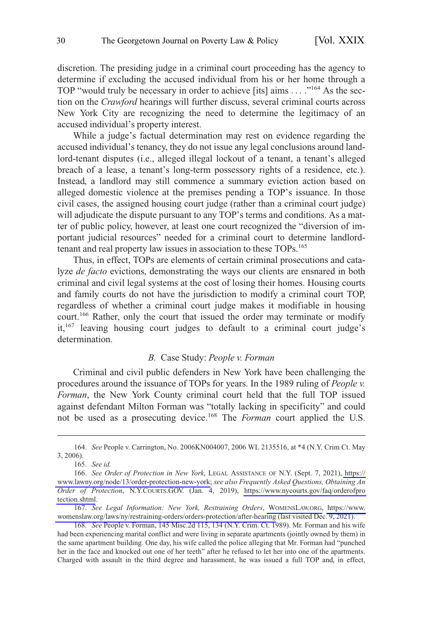<span id="page-29-0"></span>discretion. The presiding judge in a criminal court proceeding has the agency to determine if excluding the accused individual from his or her home through a TOP "would truly be necessary in order to achieve [its] aims . . . ."164 As the section on the *Crawford* hearings will further discuss, several criminal courts across New York City are recognizing the need to determine the legitimacy of an accused individual's property interest.

While a judge's factual determination may rest on evidence regarding the accused individual's tenancy, they do not issue any legal conclusions around landlord-tenant disputes (i.e., alleged illegal lockout of a tenant, a tenant's alleged breach of a lease, a tenant's long-term possessory rights of a residence, etc.). Instead, a landlord may still commence a summary eviction action based on alleged domestic violence at the premises pending a TOP's issuance. In those civil cases, the assigned housing court judge (rather than a criminal court judge) will adjudicate the dispute pursuant to any TOP's terms and conditions. As a matter of public policy, however, at least one court recognized the "diversion of important judicial resources" needed for a criminal court to determine landlordtenant and real property law issues in association to these TOPs.<sup>165</sup>

Thus, in effect, TOPs are elements of certain criminal prosecutions and catalyze *de facto* evictions, demonstrating the ways our clients are ensnared in both criminal and civil legal systems at the cost of losing their homes. Housing courts and family courts do not have the jurisdiction to modify a criminal court TOP, regardless of whether a criminal court judge makes it modifiable in housing court.<sup>166</sup> Rather, only the court that issued the order may terminate or modify it,<sup>167</sup> leaving housing court judges to default to a criminal court judge's determination.

#### *B.* Case Study: *People v. Forman*

Criminal and civil public defenders in New York have been challenging the procedures around the issuance of TOPs for years. In the 1989 ruling of *People v. Forman*, the New York County criminal court held that the full TOP issued against defendant Milton Forman was "totally lacking in specificity" and could not be used as a prosecuting device.168 The *Forman* court applied the U.S.

*See Legal Information: New York, Restraining Orders*, [WOMENSLAW.ORG,](https://www.womenslaw.org/) [https://www.](https://www.womenslaw.org/laws/ny/restraining-orders/orders-protection/after-hearing)  167. [womenslaw.org/laws/ny/restraining-orders/orders-protection/after-hearing](https://www.womenslaw.org/laws/ny/restraining-orders/orders-protection/after-hearing) (last visited Dec. 9, 2021).

168. *See* People v. Forman, 145 Misc.2d 115, 134 (N.Y. Crim. Ct. 1989). Mr. Forman and his wife had been experiencing marital conflict and were living in separate apartments (jointly owned by them) in the same apartment building. One day, his wife called the police alleging that Mr. Forman had "punched her in the face and knocked out one of her teeth" after he refused to let her into one of the apartments. Charged with assault in the third degree and harassment, he was issued a full TOP and, in effect,

<sup>164.</sup> *See* People v. Carrington, No. 2006KN004007, 2006 WL 2135516, at \*4 (N.Y. Crim Ct. May 3, 2006).

<sup>165.</sup> *See id.* 

<sup>166.</sup> See Order of Protection in New York, LEGAL ASSISTANCE OF N.Y. (Sept. 7, 2021), https:// [www.lawny.org/node/13/order-protection-new-york;](https://www.lawny.org/node/13/order-protection-new-york) *see also Frequently Asked Questions, Obtaining An Order of Protection*, N.Y.COURTS.GOV. (Jan. 4, 2019), [https://www.nycourts.gov/faq/orderofpro](https://www.nycourts.gov/faq/orderofprotection.shtml)  [tection.shtml](https://www.nycourts.gov/faq/orderofprotection.shtml).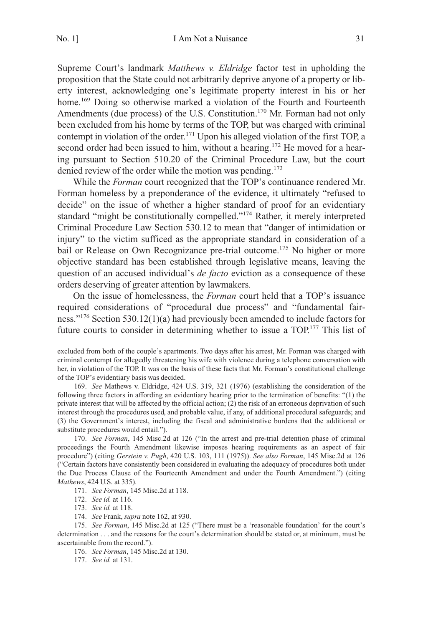Supreme Court's landmark *Matthews v. Eldridge* factor test in upholding the proposition that the State could not arbitrarily deprive anyone of a property or liberty interest, acknowledging one's legitimate property interest in his or her home.<sup>169</sup> Doing so otherwise marked a violation of the Fourth and Fourteenth Amendments (due process) of the U.S. Constitution.<sup>170</sup> Mr. Forman had not only been excluded from his home by terms of the TOP, but was charged with criminal contempt in violation of the order.<sup>171</sup> Upon his alleged violation of the first TOP, a second order had been issued to him, without a hearing.<sup>172</sup> He moved for a hearing pursuant to Section 510.20 of the Criminal Procedure Law, but the court denied review of the order while the motion was pending.<sup>173</sup>

While the *Forman* court recognized that the TOP's continuance rendered Mr. Forman homeless by a preponderance of the evidence, it ultimately "refused to decide" on the issue of whether a higher standard of proof for an evidentiary standard "might be constitutionally compelled."<sup>174</sup> Rather, it merely interpreted Criminal Procedure Law Section 530.12 to mean that "danger of intimidation or injury" to the victim sufficed as the appropriate standard in consideration of a bail or Release on Own Recognizance pre-trial outcome.<sup>175</sup> No higher or more objective standard has been established through legislative means, leaving the question of an accused individual's *de facto* eviction as a consequence of these orders deserving of greater attention by lawmakers.

On the issue of homelessness, the *Forman* court held that a TOP's issuance required considerations of "procedural due process" and "fundamental fairness."176 Section 530.12(1)(a) had previously been amended to include factors for future courts to consider in determining whether to issue a TOP.<sup>177</sup> This list of

- 173. *See id.* at 118.
- 174. *See* Frank, *supra* note 162, at 930.

175. *See Forman*, 145 Misc.2d at 125 ("There must be a 'reasonable foundation' for the court's determination . . . and the reasons for the court's determination should be stated or, at minimum, must be ascertainable from the record.").

176. *See Forman*, 145 Misc.2d at 130.

177. *See id.* at 131.

excluded from both of the couple's apartments. Two days after his arrest, Mr. Forman was charged with criminal contempt for allegedly threatening his wife with violence during a telephone conversation with her, in violation of the TOP. It was on the basis of these facts that Mr. Forman's constitutional challenge of the TOP's evidentiary basis was decided.

<sup>169.</sup> *See* Mathews v. Eldridge, 424 U.S. 319, 321 (1976) (establishing the consideration of the following three factors in affording an evidentiary hearing prior to the termination of benefits: "(1) the private interest that will be affected by the official action; (2) the risk of an erroneous deprivation of such interest through the procedures used, and probable value, if any, of additional procedural safeguards; and (3) the Government's interest, including the fiscal and administrative burdens that the additional or substitute procedures would entail.").

<sup>170.</sup> *See Forman*, 145 Misc.2d at 126 ("In the arrest and pre-trial detention phase of criminal proceedings the Fourth Amendment likewise imposes hearing requirements as an aspect of fair procedure") (citing *Gerstein v. Pugh*, 420 U.S. 103, 111 (1975)). *See also Forman*, 145 Misc.2d at 126 ("Certain factors have consistently been considered in evaluating the adequacy of procedures both under the Due Process Clause of the Fourteenth Amendment and under the Fourth Amendment.") (citing *Mathews*, 424 U.S. at 335).

<sup>171.</sup> *See Forman*, 145 Misc.2d at 118.

<sup>172.</sup> *See id.* at 116.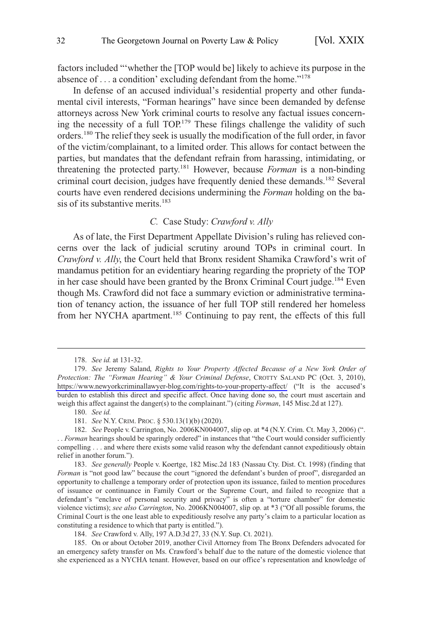<span id="page-31-0"></span>factors included "'whether the [TOP would be] likely to achieve its purpose in the absence of . . . a condition' excluding defendant from the home."<sup>178</sup>

In defense of an accused individual's residential property and other fundamental civil interests, "Forman hearings" have since been demanded by defense attorneys across New York criminal courts to resolve any factual issues concerning the necessity of a full TOP.<sup>179</sup> These filings challenge the validity of such orders.180 The relief they seek is usually the modification of the full order, in favor of the victim/complainant, to a limited order. This allows for contact between the parties, but mandates that the defendant refrain from harassing, intimidating, or threatening the protected party.181 However, because *Forman* is a non-binding criminal court decision, judges have frequently denied these demands.<sup>182</sup> Several courts have even rendered decisions undermining the *Forman* holding on the basis of its substantive merits. $183$ 

# *C.* Case Study: *Crawford v. Ally*

As of late, the First Department Appellate Division's ruling has relieved concerns over the lack of judicial scrutiny around TOPs in criminal court. In *Crawford v. Ally*, the Court held that Bronx resident Shamika Crawford's writ of mandamus petition for an evidentiary hearing regarding the propriety of the TOP in her case should have been granted by the Bronx Criminal Court judge.<sup>184</sup> Even though Ms. Crawford did not face a summary eviction or administrative termination of tenancy action, the issuance of her full TOP still rendered her homeless from her NYCHA apartment.185 Continuing to pay rent, the effects of this full

185. On or about October 2019, another Civil Attorney from The Bronx Defenders advocated for an emergency safety transfer on Ms. Crawford's behalf due to the nature of the domestic violence that she experienced as a NYCHA tenant. However, based on our office's representation and knowledge of

<sup>178.</sup> *See id.* at 131-32.

<sup>179.</sup> See Jeremy Saland, Rights to Your Property Affected Because of a New York Order of *Protection: The "Forman Hearing" & Your Criminal Defense*, CROTTY SALAND PC (Oct. 3, 2010), <https://www.newyorkcriminallawyer-blog.com/rights-to-your-property-affect/> ("It is the accused's burden to establish this direct and specific affect. Once having done so, the court must ascertain and weigh this affect against the danger(s) to the complainant.") (citing *Forman*, 145 Misc.2d at 127).

<sup>180.</sup> *See id.* 

<sup>181.</sup> *See* N.Y. CRIM. PROC. § 530.13(1)(b) (2020).

<sup>182.</sup> *See* People v. Carrington, No. 2006KN004007, slip op. at \*4 (N.Y. Crim. Ct. May 3, 2006) (". . . *Forman* hearings should be sparingly ordered" in instances that "the Court would consider sufficiently compelling . . . and where there exists some valid reason why the defendant cannot expeditiously obtain relief in another forum.").

<sup>183.</sup> *See generally* People v. Koertge, 182 Misc.2d 183 (Nassau Cty. Dist. Ct. 1998) (finding that *Forman* is "not good law" because the court "ignored the defendant's burden of proof", disregarded an opportunity to challenge a temporary order of protection upon its issuance, failed to mention procedures of issuance or continuance in Family Court or the Supreme Court, and failed to recognize that a defendant's "enclave of personal security and privacy" is often a "torture chamber" for domestic violence victims); *see also Carrington*, No. 2006KN004007, slip op. at \*3 ("Of all possible forums, the Criminal Court is the one least able to expeditiously resolve any party's claim to a particular location as constituting a residence to which that party is entitled.").

<sup>184.</sup> *See* Crawford v. Ally, 197 A.D.3d 27, 33 (N.Y. Sup. Ct. 2021).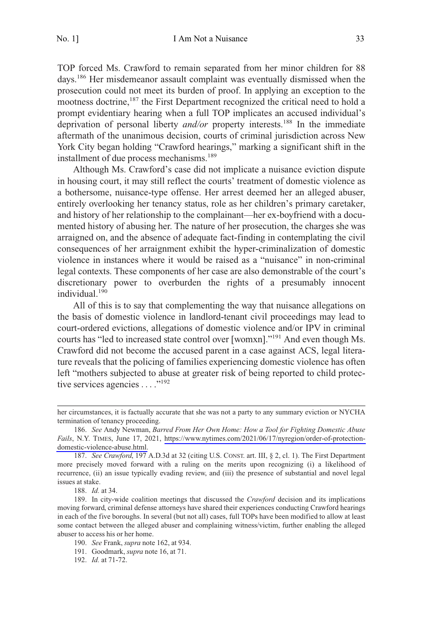TOP forced Ms. Crawford to remain separated from her minor children for 88 days.<sup>186</sup> Her misdemeanor assault complaint was eventually dismissed when the prosecution could not meet its burden of proof. In applying an exception to the mootness doctrine,<sup>187</sup> the First Department recognized the critical need to hold a prompt evidentiary hearing when a full TOP implicates an accused individual's deprivation of personal liberty *and/or* property interests.188 In the immediate aftermath of the unanimous decision, courts of criminal jurisdiction across New York City began holding "Crawford hearings," marking a significant shift in the installment of due process mechanisms.<sup>189</sup>

Although Ms. Crawford's case did not implicate a nuisance eviction dispute in housing court, it may still reflect the courts' treatment of domestic violence as a bothersome, nuisance-type offense. Her arrest deemed her an alleged abuser, entirely overlooking her tenancy status, role as her children's primary caretaker, and history of her relationship to the complainant—her ex-boyfriend with a documented history of abusing her. The nature of her prosecution, the charges she was arraigned on, and the absence of adequate fact-finding in contemplating the civil consequences of her arraignment exhibit the hyper-criminalization of domestic violence in instances where it would be raised as a "nuisance" in non-criminal legal contexts. These components of her case are also demonstrable of the court's discretionary power to overburden the rights of a presumably innocent individual.<sup>190</sup>

All of this is to say that complementing the way that nuisance allegations on the basis of domestic violence in landlord-tenant civil proceedings may lead to court-ordered evictions, allegations of domestic violence and/or IPV in criminal courts has "led to increased state control over [womxn]."191 And even though Ms. Crawford did not become the accused parent in a case against ACS, legal literature reveals that the policing of families experiencing domestic violence has often left "mothers subjected to abuse at greater risk of being reported to child protective services agencies  $\dots$ ."<sup>192</sup>

her circumstances, it is factually accurate that she was not a party to any summary eviction or NYCHA termination of tenancy proceeding.

*See* Andy Newman, *Barred From Her Own Home: How a Tool for Fighting Domestic Abuse*  186. *Fails*, N.Y. TIMES, June 17, 2021, [https://www.nytimes.com/2021/06/17/nyregion/order-of-protection](https://www.nytimes.com/2021/06/17/nyregion/order-of-protection-domestic-violence-abuse.html)[domestic-violence-abuse.html.](https://www.nytimes.com/2021/06/17/nyregion/order-of-protection-domestic-violence-abuse.html)

<sup>187.</sup> *See Crawford*, 197 A.D.3d at 32 (citing U.S. CONST. art. III, § 2, cl. 1). The First Department more precisely moved forward with a ruling on the merits upon recognizing (i) a likelihood of recurrence, (ii) an issue typically evading review, and (iii) the presence of substantial and novel legal issues at stake.

<sup>188.</sup> *Id.* at 34.

<sup>189.</sup> In city-wide coalition meetings that discussed the *Crawford* decision and its implications moving forward, criminal defense attorneys have shared their experiences conducting Crawford hearings in each of the five boroughs. In several (but not all) cases, full TOPs have been modified to allow at least some contact between the alleged abuser and complaining witness/victim, further enabling the alleged abuser to access his or her home.

<sup>190.</sup> *See* Frank, *supra* note 162, at 934.

<sup>191.</sup> Goodmark, *supra* note 16, at 71.

<sup>192.</sup> *Id.* at 71-72.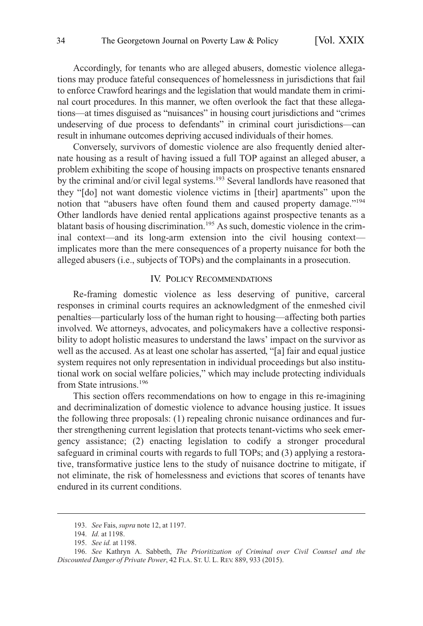<span id="page-33-0"></span>Accordingly, for tenants who are alleged abusers, domestic violence allegations may produce fateful consequences of homelessness in jurisdictions that fail to enforce Crawford hearings and the legislation that would mandate them in criminal court procedures. In this manner, we often overlook the fact that these allegations—at times disguised as "nuisances" in housing court jurisdictions and "crimes undeserving of due process to defendants" in criminal court jurisdictions—can result in inhumane outcomes depriving accused individuals of their homes.

Conversely, survivors of domestic violence are also frequently denied alternate housing as a result of having issued a full TOP against an alleged abuser, a problem exhibiting the scope of housing impacts on prospective tenants ensnared by the criminal and/or civil legal systems.<sup>193</sup> Several landlords have reasoned that they "[do] not want domestic violence victims in [their] apartments" upon the notion that "abusers have often found them and caused property damage."<sup>194</sup> Other landlords have denied rental applications against prospective tenants as a blatant basis of housing discrimination.<sup>195</sup> As such, domestic violence in the criminal context—and its long-arm extension into the civil housing context implicates more than the mere consequences of a property nuisance for both the alleged abusers (i.e., subjects of TOPs) and the complainants in a prosecution.

#### IV. POLICY RECOMMENDATIONS

Re-framing domestic violence as less deserving of punitive, carceral responses in criminal courts requires an acknowledgment of the enmeshed civil penalties—particularly loss of the human right to housing—affecting both parties involved. We attorneys, advocates, and policymakers have a collective responsibility to adopt holistic measures to understand the laws' impact on the survivor as well as the accused. As at least one scholar has asserted, "[a] fair and equal justice system requires not only representation in individual proceedings but also institutional work on social welfare policies," which may include protecting individuals from State intrusions.<sup>196</sup>

This section offers recommendations on how to engage in this re-imagining and decriminalization of domestic violence to advance housing justice. It issues the following three proposals: (1) repealing chronic nuisance ordinances and further strengthening current legislation that protects tenant-victims who seek emergency assistance; (2) enacting legislation to codify a stronger procedural safeguard in criminal courts with regards to full TOPs; and (3) applying a restorative, transformative justice lens to the study of nuisance doctrine to mitigate, if not eliminate, the risk of homelessness and evictions that scores of tenants have endured in its current conditions.

<sup>193.</sup> *See* Fais, *supra* note 12, at 1197.

<sup>194.</sup> *Id.* at 1198.

<sup>195.</sup> *See id.* at 1198.

<sup>196.</sup> *See* Kathryn A. Sabbeth, *The Prioritization of Criminal over Civil Counsel and the Discounted Danger of Private Power*, 42 FLA. ST. U. L. REV. 889, 933 (2015).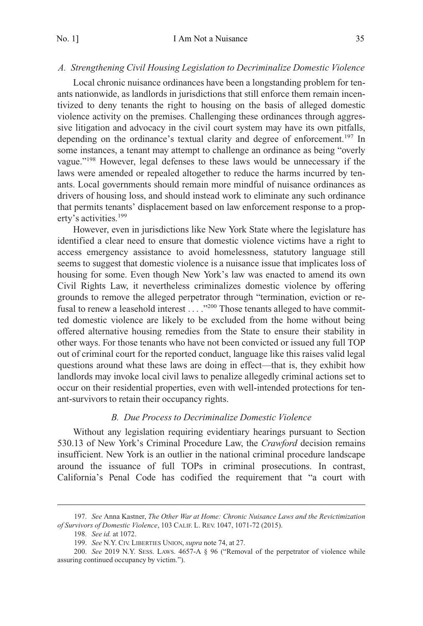## <span id="page-34-0"></span>*A. Strengthening Civil Housing Legislation to Decriminalize Domestic Violence*

Local chronic nuisance ordinances have been a longstanding problem for tenants nationwide, as landlords in jurisdictions that still enforce them remain incentivized to deny tenants the right to housing on the basis of alleged domestic violence activity on the premises. Challenging these ordinances through aggressive litigation and advocacy in the civil court system may have its own pitfalls, depending on the ordinance's textual clarity and degree of enforcement.<sup>197</sup> In some instances, a tenant may attempt to challenge an ordinance as being "overly vague."198 However, legal defenses to these laws would be unnecessary if the laws were amended or repealed altogether to reduce the harms incurred by tenants. Local governments should remain more mindful of nuisance ordinances as drivers of housing loss, and should instead work to eliminate any such ordinance that permits tenants' displacement based on law enforcement response to a property's activities.<sup>199</sup>

However, even in jurisdictions like New York State where the legislature has identified a clear need to ensure that domestic violence victims have a right to access emergency assistance to avoid homelessness, statutory language still seems to suggest that domestic violence is a nuisance issue that implicates loss of housing for some. Even though New York's law was enacted to amend its own Civil Rights Law, it nevertheless criminalizes domestic violence by offering grounds to remove the alleged perpetrator through "termination, eviction or refusal to renew a leasehold interest . . . ."200 Those tenants alleged to have committed domestic violence are likely to be excluded from the home without being offered alternative housing remedies from the State to ensure their stability in other ways. For those tenants who have not been convicted or issued any full TOP out of criminal court for the reported conduct, language like this raises valid legal questions around what these laws are doing in effect—that is, they exhibit how landlords may invoke local civil laws to penalize allegedly criminal actions set to occur on their residential properties, even with well-intended protections for tenant-survivors to retain their occupancy rights.

#### *B. Due Process to Decriminalize Domestic Violence*

Without any legislation requiring evidentiary hearings pursuant to Section 530.13 of New York's Criminal Procedure Law, the *Crawford* decision remains insufficient. New York is an outlier in the national criminal procedure landscape around the issuance of full TOPs in criminal prosecutions. In contrast, California's Penal Code has codified the requirement that "a court with

<sup>197.</sup> *See* Anna Kastner, *The Other War at Home: Chronic Nuisance Laws and the Revictimization of Survivors of Domestic Violence*, 103 CALIF. L. REV. 1047, 1071-72 (2015).

<sup>198.</sup> *See id.* at 1072.

<sup>199.</sup> *See* N.Y. CIV. LIBERTIES UNION, *supra* note 74, at 27.

<sup>200.</sup> *See* 2019 N.Y. SESS. LAWS. 4657-A § 96 ("Removal of the perpetrator of violence while assuring continued occupancy by victim.").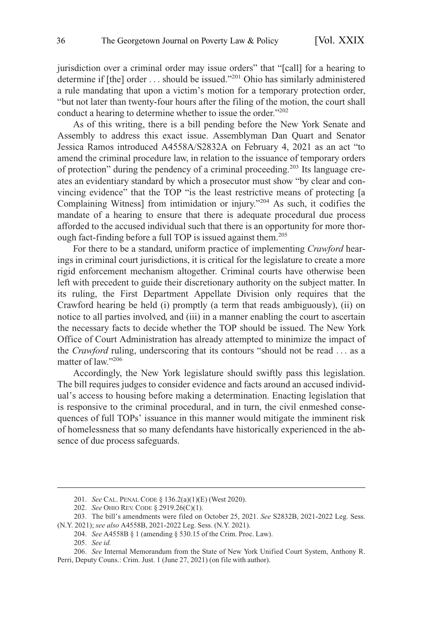jurisdiction over a criminal order may issue orders" that "[call] for a hearing to determine if [the] order ... should be issued."<sup>201</sup> Ohio has similarly administered a rule mandating that upon a victim's motion for a temporary protection order, "but not later than twenty-four hours after the filing of the motion, the court shall conduct a hearing to determine whether to issue the order."<sup>202</sup>

As of this writing, there is a bill pending before the New York Senate and Assembly to address this exact issue. Assemblyman Dan Quart and Senator Jessica Ramos introduced A4558A/S2832A on February 4, 2021 as an act "to amend the criminal procedure law, in relation to the issuance of temporary orders of protection" during the pendency of a criminal proceeding.203 Its language creates an evidentiary standard by which a prosecutor must show "by clear and convincing evidence" that the TOP "is the least restrictive means of protecting [a Complaining Witness] from intimidation or injury."204 As such, it codifies the mandate of a hearing to ensure that there is adequate procedural due process afforded to the accused individual such that there is an opportunity for more thorough fact-finding before a full TOP is issued against them.<sup>205</sup>

For there to be a standard, uniform practice of implementing *Crawford* hearings in criminal court jurisdictions, it is critical for the legislature to create a more rigid enforcement mechanism altogether. Criminal courts have otherwise been left with precedent to guide their discretionary authority on the subject matter. In its ruling, the First Department Appellate Division only requires that the Crawford hearing be held (i) promptly (a term that reads ambiguously), (ii) on notice to all parties involved, and (iii) in a manner enabling the court to ascertain the necessary facts to decide whether the TOP should be issued. The New York Office of Court Administration has already attempted to minimize the impact of the *Crawford* ruling, underscoring that its contours "should not be read . . . as a matter of law."<sup>206</sup>

Accordingly, the New York legislature should swiftly pass this legislation. The bill requires judges to consider evidence and facts around an accused individual's access to housing before making a determination. Enacting legislation that is responsive to the criminal procedural, and in turn, the civil enmeshed consequences of full TOPs' issuance in this manner would mitigate the imminent risk of homelessness that so many defendants have historically experienced in the absence of due process safeguards.

<sup>201.</sup> *See* CAL. PENAL CODE § 136.2(a)(1)(E) (West 2020).

<sup>202.</sup> *See* OHIO REV. CODE § 2919.26(C)(1).

<sup>203.</sup> The bill's amendments were filed on October 25, 2021. *See* S2832B, 2021-2022 Leg. Sess. (N.Y. 2021); *see also* A4558B, 2021-2022 Leg. Sess. (N.Y. 2021).

<sup>204.</sup> *See* A4558B § 1 (amending § 530.15 of the Crim. Proc. Law).

<sup>205.</sup> *See id.* 

<sup>206.</sup> *See* Internal Memorandum from the State of New York Unified Court System, Anthony R. Perri, Deputy Couns.: Crim. Just. 1 (June 27, 2021) (on file with author).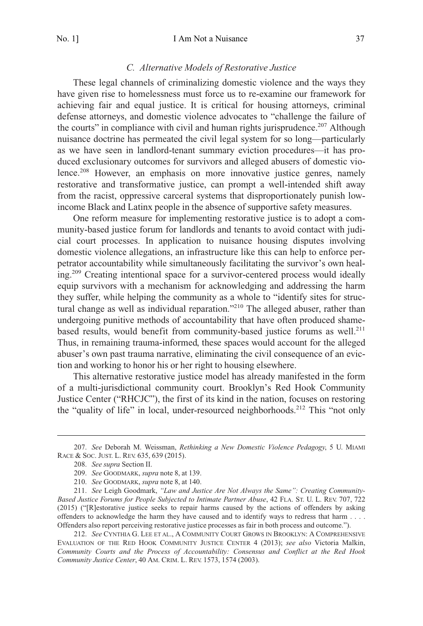#### *C. Alternative Models of Restorative Justice*

<span id="page-36-0"></span>These legal channels of criminalizing domestic violence and the ways they have given rise to homelessness must force us to re-examine our framework for achieving fair and equal justice. It is critical for housing attorneys, criminal defense attorneys, and domestic violence advocates to "challenge the failure of the courts" in compliance with civil and human rights jurisprudence.<sup>207</sup> Although nuisance doctrine has permeated the civil legal system for so long—particularly as we have seen in landlord-tenant summary eviction procedures—it has produced exclusionary outcomes for survivors and alleged abusers of domestic violence.<sup>208</sup> However, an emphasis on more innovative justice genres, namely restorative and transformative justice, can prompt a well-intended shift away from the racist, oppressive carceral systems that disproportionately punish lowincome Black and Latinx people in the absence of supportive safety measures.

One reform measure for implementing restorative justice is to adopt a community-based justice forum for landlords and tenants to avoid contact with judicial court processes. In application to nuisance housing disputes involving domestic violence allegations, an infrastructure like this can help to enforce perpetrator accountability while simultaneously facilitating the survivor's own healing.209 Creating intentional space for a survivor-centered process would ideally equip survivors with a mechanism for acknowledging and addressing the harm they suffer, while helping the community as a whole to "identify sites for structural change as well as individual reparation."<sup>210</sup> The alleged abuser, rather than undergoing punitive methods of accountability that have often produced shamebased results, would benefit from community-based justice forums as well.<sup>211</sup> Thus, in remaining trauma-informed, these spaces would account for the alleged abuser's own past trauma narrative, eliminating the civil consequence of an eviction and working to honor his or her right to housing elsewhere.

This alternative restorative justice model has already manifested in the form of a multi-jurisdictional community court. Brooklyn's Red Hook Community Justice Center ("RHCJC"), the first of its kind in the nation, focuses on restoring the "quality of life" in local, under-resourced neighborhoods.<sup>212</sup> This "not only

212. *See* CYNTHIA G. LEE ET AL., A COMMUNITY COURT GROWS IN BROOKLYN: A COMPREHENSIVE EVALUATION OF THE RED HOOK COMMUNITY JUSTICE CENTER 4 (2013); *see also* Victoria Malkin, *Community Courts and the Process of Accountability: Consensus and Conflict at the Red Hook Community Justice Center*, 40 AM. CRIM. L. REV. 1573, 1574 (2003).

<sup>207.</sup> *See* Deborah M. Weissman, *Rethinking a New Domestic Violence Pedagogy*, 5 U. MIAMI RACE & SOC. JUST. L. REV. 635, 639 (2015).

<sup>208.</sup> *See supra* Section II.

<sup>209.</sup> *See* GOODMARK, *supra* note 8, at 139.

<sup>210.</sup> *See* GOODMARK, *supra* note 8, at 140.

<sup>211.</sup> *See* Leigh Goodmark, *"Law and Justice Are Not Always the Same": Creating Community-Based Justice Forums for People Subjected to Intimate Partner Abuse*, 42 FLA. ST. U. L. REV. 707, 722 (2015) ("[R]estorative justice seeks to repair harms caused by the actions of offenders by asking offenders to acknowledge the harm they have caused and to identify ways to redress that harm . . . . Offenders also report perceiving restorative justice processes as fair in both process and outcome.").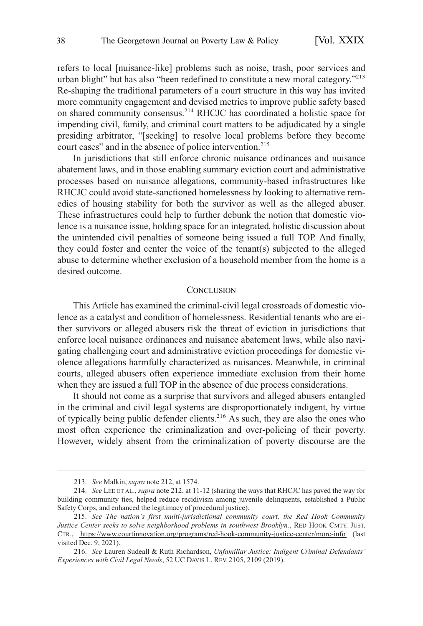<span id="page-37-0"></span>refers to local [nuisance-like] problems such as noise, trash, poor services and urban blight" but has also "been redefined to constitute a new moral category."<sup>213</sup> Re-shaping the traditional parameters of a court structure in this way has invited more community engagement and devised metrics to improve public safety based on shared community consensus.214 RHCJC has coordinated a holistic space for impending civil, family, and criminal court matters to be adjudicated by a single presiding arbitrator, "[seeking] to resolve local problems before they become court cases" and in the absence of police intervention.<sup>215</sup>

In jurisdictions that still enforce chronic nuisance ordinances and nuisance abatement laws, and in those enabling summary eviction court and administrative processes based on nuisance allegations, community-based infrastructures like RHCJC could avoid state-sanctioned homelessness by looking to alternative remedies of housing stability for both the survivor as well as the alleged abuser. These infrastructures could help to further debunk the notion that domestic violence is a nuisance issue, holding space for an integrated, holistic discussion about the unintended civil penalties of someone being issued a full TOP. And finally, they could foster and center the voice of the tenant(s) subjected to the alleged abuse to determine whether exclusion of a household member from the home is a desired outcome.

#### **CONCLUSION**

This Article has examined the criminal-civil legal crossroads of domestic violence as a catalyst and condition of homelessness. Residential tenants who are either survivors or alleged abusers risk the threat of eviction in jurisdictions that enforce local nuisance ordinances and nuisance abatement laws, while also navigating challenging court and administrative eviction proceedings for domestic violence allegations harmfully characterized as nuisances. Meanwhile, in criminal courts, alleged abusers often experience immediate exclusion from their home when they are issued a full TOP in the absence of due process considerations.

It should not come as a surprise that survivors and alleged abusers entangled in the criminal and civil legal systems are disproportionately indigent, by virtue of typically being public defender clients.<sup>216</sup> As such, they are also the ones who most often experience the criminalization and over-policing of their poverty. However, widely absent from the criminalization of poverty discourse are the

<sup>213.</sup> *See* Malkin, *supra* note 212, at 1574.

<sup>214.</sup> *See* LEE ET AL., *supra* note 212, at 11-12 (sharing the ways that RHCJC has paved the way for building community ties, helped reduce recidivism among juvenile delinquents, established a Public Safety Corps, and enhanced the legitimacy of procedural justice).

*See The nation's first multi-jurisdictional community court, the Red Hook Community*  215. *Justice Center seeks to solve neighborhood problems in southwest Brooklyn.*, RED HOOK CMTY. JUST. CTR., <https://www.courtinnovation.org/programs/red-hook-community-justice-center/more-info>(last visited Dec. 9, 2021).

<sup>216.</sup> *See* Lauren Sudeall & Ruth Richardson, *Unfamiliar Justice: Indigent Criminal Defendants' Experiences with Civil Legal Needs*, 52 UC DAVIS L. REV. 2105, 2109 (2019).